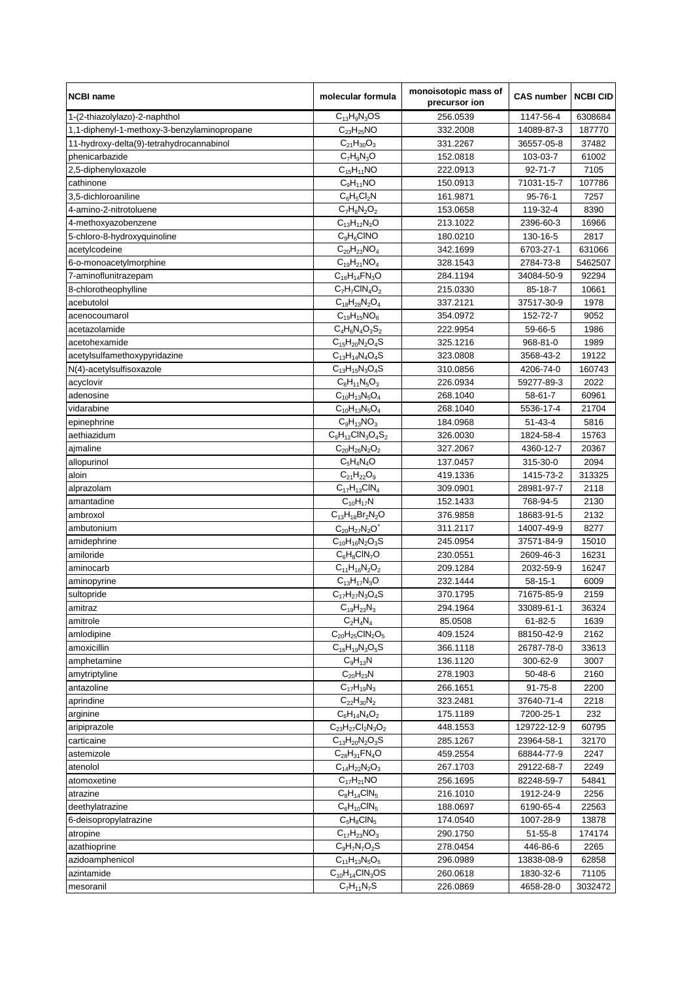| <b>NCBI name</b>                            | molecular formula           | monoisotopic mass of<br>precursor ion | <b>CAS number</b> | <b>NCBI CID</b> |
|---------------------------------------------|-----------------------------|---------------------------------------|-------------------|-----------------|
| 1-(2-thiazolylazo)-2-naphthol               | $C_{13}H_9N_3OS$            | 256.0539                              | 1147-56-4         | 6308684         |
| 1,1-diphenyl-1-methoxy-3-benzylaminopropane | $\overline{C}_{23}H_{25}NO$ | 332.2008                              | 14089-87-3        | 187770          |
| 11-hydroxy-delta(9)-tetrahydrocannabinol    | $C_{21}H_{30}O_3$           | 331.2267                              | 36557-05-8        | 37482           |
| phenicarbazide                              | $C_7H_9N_3O$                | 152.0818                              | 103-03-7          | 61002           |
| 2,5-diphenyloxazole                         | $C_{15}H_{11}NO$            | 222.0913                              | $92 - 71 - 7$     | 7105            |
| cathinone                                   | $C_9H_{11}NO$               | 150.0913                              | 71031-15-7        | 107786          |
| 3,5-dichloroaniline                         | $C_6H_5Cl_2N$               | 161.9871                              | 95-76-1           | 7257            |
| 4-amino-2-nitrotoluene                      | $C_7H_8N_2O_2$              | 153.0658                              | 119-32-4          | 8390            |
| 4-methoxyazobenzene                         | $C_{13}H_{12}N_2O$          | 213.1022                              | 2396-60-3         | 16966           |
| 5-chloro-8-hydroxyquinoline                 | $C_9H_6CINO$                | 180.0210                              | 130-16-5          | 2817            |
| acetylcodeine                               | $C_{20}H_{23}NO_4$          | 342.1699                              | 6703-27-1         | 631066          |
| 6-o-monoacetylmorphine                      | $C_{19}H_{21}NO_4$          | 328.1543                              | 2784-73-8         | 5462507         |
| 7-aminoflunitrazepam                        | $C_{16}H_{14}FN_{3}O$       | 284.1194                              | 34084-50-9        | 92294           |
| 8-chlorotheophylline                        | $C_7H_7CH_4O_2$             | 215.0330                              | 85-18-7           | 10661           |
| acebutolol                                  | $C_{18}H_{28}N_2O_4$        | 337.2121                              | 37517-30-9        | 1978            |
| acenocoumarol                               | $C_{19}H_{15}NO_6$          | 354.0972                              | 152-72-7          | 9052            |
| acetazolamide                               | $C_4H_6N_4O_3S_2$           | 222.9954                              | 59-66-5           | 1986            |
| acetohexamide                               | $C_{15}H_{20}N_2O_4S$       | 325.1216                              | 968-81-0          | 1989            |
| acetylsulfamethoxypyridazine                | $C_{13}H_{14}N_4O_4S$       | 323.0808                              | 3568-43-2         | 19122           |
| N(4)-acetylsulfisoxazole                    | $C_{13}H_{15}N_3O_4S$       | 310.0856                              | 4206-74-0         | 160743          |
|                                             |                             |                                       |                   |                 |
| acyclovir                                   | $C_8H_{11}N_5O_3$           | 226.0934                              | 59277-89-3        | 2022            |
| adenosine                                   | $C_{10}H_{13}N_5O_4$        | 268.1040                              | 58-61-7           | 60961           |
| vidarabine                                  | $C_{10}H_{13}N_5O_4$        | 268.1040                              | 5536-17-4         | 21704           |
| epinephrine                                 | $C_9H_{13}NO_3$             | 184.0968                              | $51 - 43 - 4$     | 5816            |
| aethiazidum                                 | $C_9H_{12}CIN_3O_4S_2$      | 326.0030                              | 1824-58-4         | 15763           |
| ajmaline                                    | $C_{20}H_{26}N_2O_2$        | 327.2067                              | 4360-12-7         | 20367           |
| allopurinol                                 | $C_5H_4N_4O$                | 137.0457                              | 315-30-0          | 2094            |
| aloin                                       | $C_{21}H_{22}O_9$           | 419.1336                              | 1415-73-2         | 313325          |
| alprazolam                                  | $C_{17}H_{13}CIN_4$         | 309.0901                              | 28981-97-7        | 2118            |
| amantadine                                  | $C_{10}H_{17}N$             | 152.1433                              | 768-94-5          | 2130            |
| ambroxol                                    | $C_{13}H_{18}Br_2N_2O$      | 376.9858                              | 18683-91-5        | 2132            |
| ambutonium                                  | $C_{20}H_{27}N_2O^+$        | 311.2117                              | 14007-49-9        | 8277            |
| amidephrine                                 | $C_{10}H_{16}N_2O_3S$       | 245.0954                              | 37571-84-9        | 15010           |
| amiloride                                   | $C_6H_8CIN_7O$              | 230.0551                              | 2609-46-3         | 16231           |
| aminocarb                                   | $C_{11}H_{16}N_2O_2$        | 209.1284                              | 2032-59-9         | 16247           |
| aminopyrine                                 | $C_{13}H_{17}N_3O$          | 232.1444                              | $58 - 15 - 1$     | 6009            |
| sultopride                                  | $C_{17}H_{27}N_3O_4S$       | 370.1795                              | 71675-85-9        | 2159            |
| amitraz                                     | $C_{19}H_{23}N_3$           | 294.1964                              | 33089-61-1        | 36324           |
| amitrole                                    | $C_2H_4N_4$                 | 85.0508                               | 61-82-5           | 1639            |
| amlodipine                                  | $C_{20}H_{25}CIN_2O_5$      | 409.1524                              | 88150-42-9        | 2162            |
| amoxicillin                                 | $C_{16}H_{19}N_3O_5S$       | 366.1118                              | 26787-78-0        | 33613           |
| amphetamine                                 | $C_9H_{13}N$                | 136.1120                              | 300-62-9          | 3007            |
| amytriptyline                               | $C_{20}H_{23}N$             | 278.1903                              | 50-48-6           | 2160            |
| antazoline                                  | $C_{17}H_{19}N_3$           | 266.1651                              | $91 - 75 - 8$     | 2200            |
| aprindine                                   | $C_{22}H_{30}N_2$           | 323.2481                              | 37640-71-4        | 2218            |
| arginine                                    | $C_6H_{14}N_4O_2$           | 175.1189                              | 7200-25-1         | 232             |
| aripiprazole                                | $C_{23}H_{27}Cl_2N_3O_2$    | 448.1553                              | 129722-12-9       | 60795           |
| carticaine                                  | $C_{13}H_{20}N_2O_3S$       | 285.1267                              | 23964-58-1        | 32170           |
| astemizole                                  | $C_{28}H_{31}FN_4O$         | 459.2554                              | 68844-77-9        | 2247            |
| atenolol                                    | $C_{14}H_{22}N_2O_3$        | 267.1703                              | 29122-68-7        | 2249            |
| atomoxetine                                 | $C_{17}H_{21}NO$            | 256.1695                              | 82248-59-7        | 54841           |
| atrazine                                    | $C_8H_{14}CIN_5$            | 216.1010                              | 1912-24-9         | 2256            |
| deethylatrazine                             | $C_6H_{10}CIN_5$            | 188.0697                              | 6190-65-4         | 22563           |
| 6-deisopropylatrazine                       | $\overline{C_5}H_8CIN_5$    | 174.0540                              | 1007-28-9         | 13878           |
| atropine                                    | $C_{17}H_{23}NO_3$          | 290.1750                              | 51-55-8           | 174174          |
| azathioprine                                | $C_9H_7N_7O_2S$             | 278.0454                              | 446-86-6          | 2265            |
| azidoamphenicol                             | $C_{11}H_{13}N_5O_5$        | 296.0989                              | 13838-08-9        | 62858           |
| azintamide                                  | $C_{10}H_{14}CIN_3OS$       | 260.0618                              | 1830-32-6         | 71105           |
| mesoranil                                   | $C_7H_{11}N_7S$             | 226.0869                              | 4658-28-0         | 3032472         |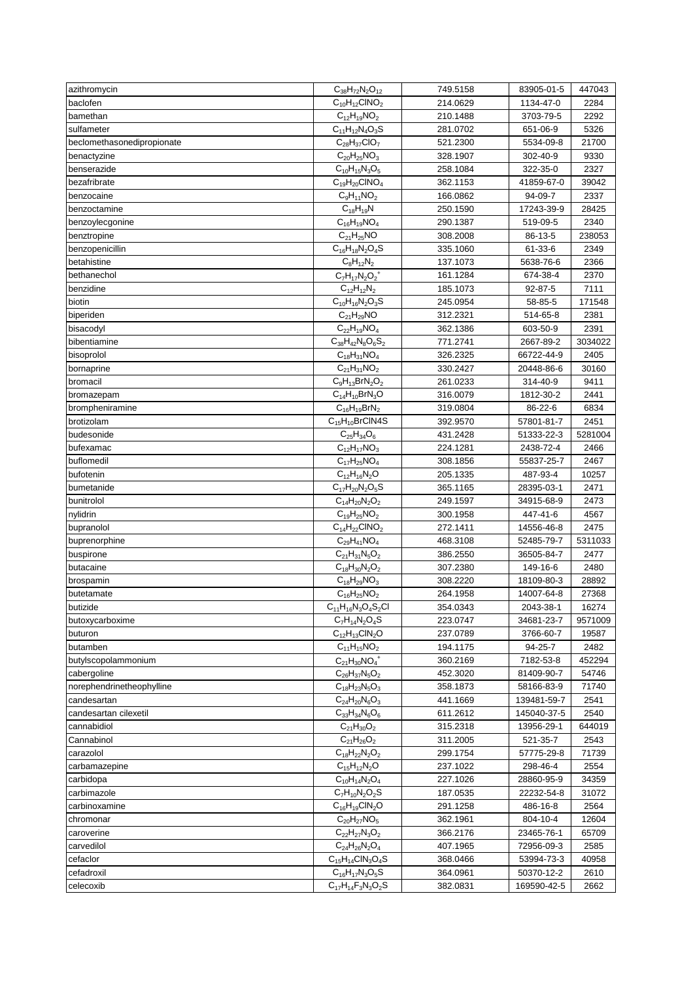| azithromycin               | $C_{38}H_{72}N_2O_{12}$                       | 749.5158             | 83905-01-5             | 447043       |
|----------------------------|-----------------------------------------------|----------------------|------------------------|--------------|
| baclofen                   | $C_{10}H_{12}CINO_2$                          | 214.0629             | 1134-47-0              | 2284         |
| bamethan                   | $C_{12}H_{19}NO_2$                            | 210.1488             | 3703-79-5              | 2292         |
| sulfameter                 | $C_{11}H_{12}N_4O_3S$                         | 281.0702             | 651-06-9               | 5326         |
| beclomethasonedipropionate | $C_{28}H_{37}ClO_7$                           | 521.2300             | 5534-09-8              | 21700        |
| benactyzine                | $C_{20}H_{25}NO_3$                            | 328.1907             | 302-40-9               | 9330         |
| benserazide                | $C_{10}H_{15}N_3O_5$                          | 258.1084             | 322-35-0               | 2327         |
| bezafribrate               | $C_{19}H_{20}CINO_4$                          | 362.1153             | 41859-67-0             | 39042        |
| benzocaine                 | $C_9H_{11}NO_2$                               | 166.0862             | 94-09-7                | 2337         |
| benzoctamine               | $C_{18}H_{19}N$                               | 250.1590             | 17243-39-9             | 28425        |
| benzoylecgonine            | $C_{16}H_{19}NO_4$                            | 290.1387             | 519-09-5               | 2340         |
| benztropine                | $C_{21}H_{25}NO$                              | 308.2008             | 86-13-5                | 238053       |
| benzopenicillin            | $C_{16}H_{18}N_{2}O_{4}S$                     | 335.1060             | 61-33-6                | 2349         |
| betahistine                | $C_8H_{12}N_2$                                | 137.1073             | 5638-76-6              | 2366         |
| bethanechol                | $C_7H_{17}N_2O_2^+$                           | 161.1284             | 674-38-4               | 2370         |
| benzidine                  | $C_{12}H_{12}N_2$                             | 185.1073             | 92-87-5                | 7111         |
| biotin                     | $C_{10}H_{16}N_2O_3S$                         | 245.0954             | 58-85-5                | 171548       |
| biperiden                  | $C_{21}H_{29}NO$                              | 312.2321             | 514-65-8               | 2381         |
| bisacodyl                  | $C_{22}H_{19}NO_4$                            | 362.1386             | 603-50-9               | 2391         |
| bibentiamine               | $C_{38}H_{42}N_8O_6S_2$                       | 771.2741             | 2667-89-2              | 3034022      |
| bisoprolol                 | $C_{18}H_{31}NO_4$                            | 326.2325             | 66722-44-9             | 2405         |
| bornaprine                 | $C_{21}H_{31}NO_2$                            | 330.2427             | 20448-86-6             | 30160        |
| bromacil                   | $C_9H_{13}BrN_2O_2$                           | 261.0233             | 314-40-9               | 9411         |
| bromazepam                 | $C_{14}H_{10}BrN_3O$                          | 316.0079             | 1812-30-2              | 2441         |
| brompheniramine            | $C_{16}H_{19}BrN_2$                           | 319.0804             | 86-22-6                | 6834         |
| brotizolam                 | $C_{15}H_{10}$ BrCIN4S                        | 392.9570             | 57801-81-7             | 2451         |
| budesonide                 | $\overline{C}_{25}H_{34}O_6$                  | 431.2428             | 51333-22-3             | 5281004      |
|                            | $C_{12}H_{17}NO_3$                            | 224.1281             | 2438-72-4              |              |
| bufexamac<br>buflomedil    | $C_{17}H_{25}NO_4$                            |                      |                        | 2466<br>2467 |
|                            |                                               | 308.1856             | 55837-25-7<br>487-93-4 |              |
| bufotenin                  | $C_{12}H_{16}N_2O$                            | 205.1335             |                        | 10257        |
| bumetanide<br>bunitrolol   | $C_{17}H_{20}N_2O_5S$<br>$C_{14}H_{20}N_2O_2$ | 365.1165<br>249.1597 | 28395-03-1             | 2471<br>2473 |
|                            |                                               |                      | 34915-68-9             |              |
| nylidrin                   | $C_{19}H_{25}NO_2$                            | 300.1958             | 447-41-6               | 4567         |
| bupranolol                 | $C_{14}H_{22}CINO_2$                          | 272.1411             | 14556-46-8             | 2475         |
| buprenorphine              | $C_{29}H_{41}NO_4$                            | 468.3108             | 52485-79-7             | 5311033      |
| buspirone                  | $C_{21}H_{31}N_5O_2$<br>$C_{18}H_{30}N_2O_2$  | 386.2550<br>307.2380 | 36505-84-7<br>149-16-6 | 2477<br>2480 |
| butacaine                  | $C_{18}H_{29}NO_3$                            |                      | 18109-80-3             |              |
| brospamin                  |                                               | 308.2220             |                        | 28892        |
| butetamate                 | $C_{16}H_{25}NO_2$                            | 264.1958             | 14007-64-8             | 27368        |
| butizide                   | $C_{11}H_{16}N_3O_4S_2Cl$                     | 354.0343             | 2043-38-1              | 16274        |
| butoxycarboxime            | $C_7H_{14}N_2O_4S$                            | 223.0747             | 34681-23-7             | 9571009      |
| buturon                    | $C_{12}H_{13}CIN_2O$                          | 237.0789             | 3766-60-7              | 19587        |
| butamben                   | $C_{11}H_{15}NO_2$                            | 194.1175             | 94-25-7                | 2482         |
| butylscopolammonium        | $C_{21}H_{30}NO_4^+$                          | 360.2169             | 7182-53-8              | 452294       |
| cabergoline                | $C_{26}H_{37}N_5O_2$                          | 452.3020             | 81409-90-7             | 54746        |
| norephendrinetheophylline  | $C_{18}H_{23}N_5O_3$                          | 358.1873             | 58166-83-9             | 71740        |
| candesartan                | $C_{24}H_{20}N_6O_3$                          | 441.1669             | 139481-59-7            | 2541         |
| candesartan cilexetil      | $C_{33}H_{34}N_6O_6$                          | 611.2612             | 145040-37-5            | 2540         |
| cannabidiol                | $C_{21}H_{30}O_2$                             | 315.2318             | 13956-29-1             | 644019       |
| Cannabinol                 | $C_{21}H_{26}O_2$                             | 311.2005             | 521-35-7               | 2543         |
| carazolol                  | $C_{18}H_{22}N_2O_2$                          | 299.1754             | 57775-29-8             | 71739        |
| carbamazepine              | $C_{15}H_{12}N_2O$                            | 237.1022             | 298-46-4               | 2554         |
| carbidopa                  | $C_{10}H_{14}N_2O_4$                          | 227.1026             | 28860-95-9             | 34359        |
| carbimazole                | $C_7H_{10}N_2O_2S$                            | 187.0535             | 22232-54-8             | 31072        |
| carbinoxamine              | $C_{16}H_{19}CIN_2O$                          | 291.1258             | 486-16-8               | 2564         |
| chromonar                  | $C_{20}H_{27}NO_5$                            | 362.1961             | 804-10-4               | 12604        |
| caroverine                 | $C_{22}H_{27}N_3O_2$                          | 366.2176             | 23465-76-1             | 65709        |
| carvedilol                 | $C_{24}H_{26}N_2O_4$                          | 407.1965             | 72956-09-3             | 2585         |
| cefaclor                   | $C_{15}H_{14}CIN_3O_4S$                       | 368.0466             | 53994-73-3             | 40958        |
| cefadroxil                 | $C_{16}H_{17}N_3O_5S$                         | 364.0961             | 50370-12-2             | 2610         |
| celecoxib                  | $C_{17}H_{14}F_3N_3O_2S$                      | 382.0831             | 169590-42-5            | 2662         |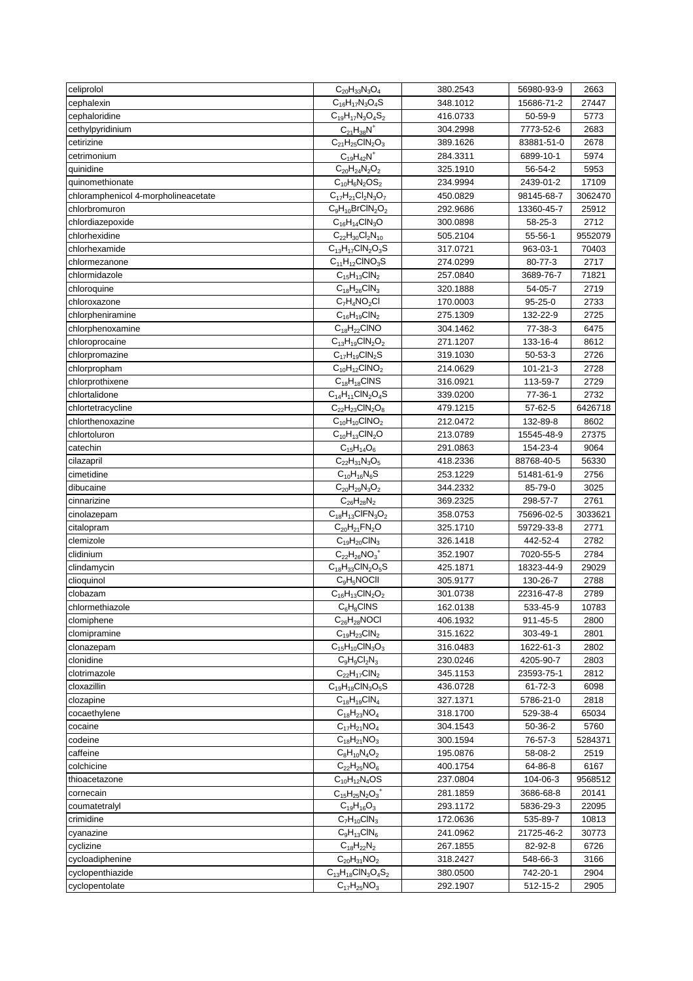| celiprolol                          | $C_{20}H_{33}N_3O_4$      | 380.2543 | 56980-93-9     | 2663    |
|-------------------------------------|---------------------------|----------|----------------|---------|
| cephalexin                          | $C_{16}H_{17}N_3O_4S$     | 348.1012 | 15686-71-2     | 27447   |
| cephaloridine                       | $C_{19}H_{17}N_3O_4S_2$   | 416.0733 | 50-59-9        | 5773    |
| cethylpyridinium                    | $C_{21}H_{38}N^{+}$       | 304.2998 | 7773-52-6      | 2683    |
| cetirizine                          | $C_{21}H_{25}CIN_2O_3$    | 389.1626 | 83881-51-0     | 2678    |
| cetrimonium                         | $C_{19}H_{42}N^+$         | 284.3311 | 6899-10-1      | 5974    |
| quinidine                           | $C_{20}H_{24}N_2O_2$      | 325.1910 | 56-54-2        | 5953    |
| quinomethionate                     | $C_{10}H_6N_2OS_2$        | 234.9994 | 2439-01-2      | 17109   |
| chloramphenicol 4-morpholineacetate | $C_{17}H_{21}Cl_2N_3O_7$  | 450.0829 | 98145-68-7     | 3062470 |
| chlorbromuron                       | $C_9H_{10}BrClN_2O_2$     | 292.9686 | 13360-45-7     | 25912   |
| chlordiazepoxide                    | $C_{16}H_{14}CIN_3O$      | 300.0898 | 58-25-3        | 2712    |
| chlorhexidine                       | $C_{22}H_{30}Cl_2N_{10}$  | 505.2104 | 55-56-1        | 9552079 |
|                                     |                           |          |                |         |
| chlorhexamide                       | $C_{13}H_{17}CIN_2O_3S$   | 317.0721 | 963-03-1       | 70403   |
| chlormezanone                       | $C_{11}H_{12}CINO_3S$     | 274.0299 | 80-77-3        | 2717    |
| chlormidazole                       | $C_{15}H_{13}CIN_2$       | 257.0840 | 3689-76-7      | 71821   |
| chloroquine                         | $C_{18}H_{26}CIN_3$       | 320.1888 | 54-05-7        | 2719    |
| chloroxazone                        | $C_7H_4NO_2Cl$            | 170.0003 | 95-25-0        | 2733    |
| chlorpheniramine                    | $C_{16}H_{19}CIN_2$       | 275.1309 | 132-22-9       | 2725    |
| chlorphenoxamine                    | $C_{18}H_{22}CINO$        | 304.1462 | 77-38-3        | 6475    |
| chloroprocaine                      | $C_{13}H_{19}CIN_2O_2$    | 271.1207 | 133-16-4       | 8612    |
| chlorpromazine                      | $C_{17}H_{19}CIN_2S$      | 319.1030 | 50-53-3        | 2726    |
| chlorpropham                        | $C_{10}H_{12}CINO_2$      | 214.0629 | $101 - 21 - 3$ | 2728    |
| chlorprothixene                     | $C_{18}H_{18}CINS$        | 316.0921 | 113-59-7       | 2729    |
| chlortalidone                       | $C_{14}H_{11}CIN_2O_4S$   | 339.0200 | 77-36-1        | 2732    |
| chlortetracycline                   | $C_{22}H_{23}CIN_2O_8$    | 479.1215 | 57-62-5        | 6426718 |
| chlorthenoxazine                    | $C_{10}H_{10}CINO_2$      | 212.0472 | 132-89-8       | 8602    |
| chlortoluron                        | $C_{10}H_{13}CIN_2O$      | 213.0789 | 15545-48-9     | 27375   |
| catechin                            | $C_{15}H_{14}O_6$         | 291.0863 | 154-23-4       | 9064    |
| cilazapril                          | $C_{22}H_{31}N_3O_5$      | 418.2336 | 88768-40-5     | 56330   |
| cimetidine                          | $C_{10}H_{16}N_6S$        | 253.1229 | 51481-61-9     | 2756    |
| dibucaine                           | $C_{20}H_{29}N_3O_2$      | 344.2332 | 85-79-0        | 3025    |
| cinnarizine                         | $C_{26}H_{28}N_2$         | 369.2325 | 298-57-7       | 2761    |
| cinolazepam                         | $C_{18}H_{13}CIFN_3O_2$   | 358.0753 | 75696-02-5     | 3033621 |
| citalopram                          | $C_{20}H_{21}FN_{2}O$     | 325.1710 | 59729-33-8     | 2771    |
| clemizole                           | $C_{19}H_{20}CIN_3$       | 326.1418 | 442-52-4       | 2782    |
| clidinium                           | $C_{22}H_{26}NO_3^+$      | 352.1907 | 7020-55-5      | 2784    |
| clindamycin                         | $C_{18}H_{33}CIN_2O_5S$   | 425.1871 | 18323-44-9     | 29029   |
| clioquinol                          | $C_9H_5NOCH$              | 305.9177 | 130-26-7       |         |
|                                     |                           |          |                | 2788    |
| clobazam                            | $C_{16}H_{13}CIN_2O_2$    | 301.0738 | 22316-47-8     | 2789    |
| chlormethiazole                     | $C_6H_8CINS$              | 162.0138 | 533-45-9       | 10783   |
| clomiphene                          | $C_{26}H_{28}N$ OCI       | 406.1932 | 911-45-5       | 2800    |
| clomipramine                        | $C_{19}H_{23}CIN_2$       | 315.1622 | 303-49-1       | 2801    |
| clonazepam                          | $C_{15}H_{10}CIN_3O_3$    | 316.0483 | 1622-61-3      | 2802    |
| clonidine                           | $C_9H_9Cl_2N_3$           | 230.0246 | 4205-90-7      | 2803    |
| clotrimazole                        | $C_{22}H_{17}CIN_2$       | 345.1153 | 23593-75-1     | 2812    |
| cloxazillin                         | $C_{19}H_{18}CIN_3O_5S$   | 436.0728 | $61 - 72 - 3$  | 6098    |
| clozapine                           | $C_{18}H_{19}CIN_4$       | 327.1371 | 5786-21-0      | 2818    |
| cocaethylene                        | $C_{18}H_{23}NO_4$        | 318.1700 | 529-38-4       | 65034   |
| cocaine                             | $C_{17}H_{21}NO_4$        | 304.1543 | 50-36-2        | 5760    |
| codeine                             | $C_{18}H_{21}NO_3$        | 300.1594 | 76-57-3        | 5284371 |
| caffeine                            | $C_8H_{10}N_4O_2$         | 195.0876 | 58-08-2        | 2519    |
| colchicine                          | $C_{22}H_{25}NO_6$        | 400.1754 | 64-86-8        | 6167    |
| thioacetazone                       | $C_{10}H_{12}N_4OS$       | 237.0804 | 104-06-3       | 9568512 |
| cornecain                           | $C_{15}H_{25}N_2O_3^+$    | 281.1859 | 3686-68-8      | 20141   |
| coumatetralyl                       | $C_{19}H_{16}O_3$         | 293.1172 | 5836-29-3      | 22095   |
| crimidine                           | $C_7H_{10}CIN_3$          | 172.0636 | 535-89-7       | 10813   |
| cyanazine                           | $C_9H_{13}CIN_6$          | 241.0962 | 21725-46-2     | 30773   |
|                                     |                           |          |                |         |
| cyclizine                           | $C_{18}H_{22}N_2$         | 267.1855 | 82-92-8        | 6726    |
| cycloadiphenine                     | $C_{20}H_{31}NO_2$        | 318.2427 | 548-66-3       | 3166    |
| cyclopenthiazide                    | $C_{13}H_{18}CIN_3O_4S_2$ | 380.0500 | 742-20-1       | 2904    |
| cyclopentolate                      | $C_{17}H_{25}NO_3$        | 292.1907 | 512-15-2       | 2905    |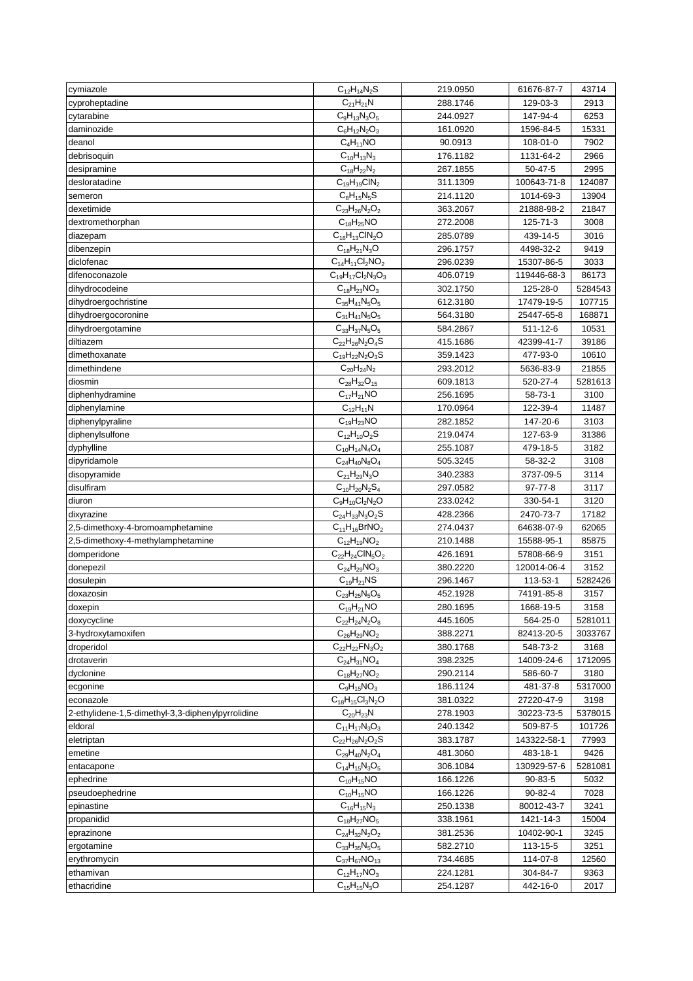| cymiazole                                         | $C_{12}H_{14}N_2S$        | 219.0950 | 61676-87-7           | 43714   |
|---------------------------------------------------|---------------------------|----------|----------------------|---------|
| cyproheptadine                                    | $C_{21}H_{21}N$           | 288.1746 | 129-03-3             | 2913    |
| cytarabine                                        | $C_9H_{13}N_3O_5$         | 244.0927 | 147-94-4             | 6253    |
| daminozide                                        | $C_6H_{12}N_2O_3$         | 161.0920 | 1596-84-5            | 15331   |
| deanol                                            | $C_4H_{11}NO$             | 90.0913  | 108-01-0             | 7902    |
| debrisoquin                                       | $C_{10}H_{13}N_3$         | 176.1182 | 1131-64-2            | 2966    |
| desipramine                                       | $C_{18}H_{22}N_2$         | 267.1855 | $50 - 47 - 5$        | 2995    |
| desloratadine                                     | $C_{19}H_{19}CIN_2$       | 311.1309 | 100643-71-8          | 124087  |
| semeron                                           | $C_8H_{15}N_5S$           | 214.1120 | 1014-69-3            | 13904   |
| dexetimide                                        | $C_{23}H_{26}N_2O_2$      | 363.2067 | 21888-98-2           | 21847   |
| dextromethorphan                                  | $C_{18}H_{25}NO$          | 272.2008 | 125-71-3             | 3008    |
| diazepam                                          | $C_{16}H_{13}CIN_2O$      | 285.0789 | 439-14-5             | 3016    |
| dibenzepin                                        | $C_{18}H_{21}N_3O$        | 296.1757 | 4498-32-2            | 9419    |
| diclofenac                                        | $C_{14}H_{11}Cl_2NO_2$    | 296.0239 | 15307-86-5           | 3033    |
| difenoconazole                                    | $C_{19}H_{17}Cl_2N_3O_3$  | 406.0719 | 119446-68-3          | 86173   |
| dihydrocodeine                                    | $C_{18}H_{23}NO_3$        | 302.1750 | 125-28-0             | 5284543 |
| dihydroergochristine                              | $C_{35}H_{41}N_5O_5$      | 612.3180 | 17479-19-5           | 107715  |
| dihydroergocoronine                               | $C_{31}H_{41}N_5O_5$      | 564.3180 | 25447-65-8           | 168871  |
| dihydroergotamine                                 | $C_{33}H_{37}N_5O_5$      | 584.2867 | 511-12-6             | 10531   |
|                                                   |                           |          |                      |         |
| diltiazem                                         | $C_{22}H_{26}N_2O_4S$     | 415.1686 | 42399-41-7           | 39186   |
| dimethoxanate                                     | $C_{19}H_{22}N_2O_3S$     | 359.1423 | 477-93-0             | 10610   |
| dimethindene                                      | $C_{20}H_{24}N_2$         | 293.2012 | 5636-83-9            | 21855   |
| diosmin                                           | $C_{28}H_{32}O_{15}$      | 609.1813 | 520-27-4             | 5281613 |
| diphenhydramine                                   | $C_{17}H_{21}NO$          | 256.1695 | 58-73-1              | 3100    |
| diphenylamine                                     | $C_{12}H_{11}N$           | 170.0964 | 122-39-4             | 11487   |
| diphenylpyraline                                  | $C_{19}H_{23}NO$          | 282.1852 | 147-20-6             | 3103    |
| diphenylsulfone                                   | $C_{12}H_{10}O_2S$        | 219.0474 | 127-63-9             | 31386   |
| dyphylline                                        | $C_{10}H_{14}N_4O_4$      | 255.1087 | 479-18-5             | 3182    |
| dipyridamole                                      | $C_{24}H_{40}N_8O_4$      | 505.3245 | 58-32-2              | 3108    |
| disopyramide                                      | $C_{21}H_{29}N_3O$        | 340.2383 | 3737-09-5            | 3114    |
| disulfiram                                        | $C_{10}H_{20}N_2S_4$      | 297.0582 | 97-77-8              | 3117    |
| diuron                                            | $C_9H_{10}Cl_2N_2O$       | 233.0242 | 330-54-1             | 3120    |
| dixyrazine                                        | $C_{24}H_{33}N_3O_2S$     | 428.2366 | 2470-73-7            | 17182   |
| 2,5-dimethoxy-4-bromoamphetamine                  | $C_{11}H_{16}BrNO_2$      | 274.0437 | 64638-07-9           | 62065   |
| 2,5-dimethoxy-4-methylamphetamine                 | $C_{12}H_{19}NO_2$        | 210.1488 | 15588-95-1           | 85875   |
| domperidone                                       | $C_{22}H_{24}CIN_5O_2$    | 426.1691 | 57808-66-9           | 3151    |
| donepezil                                         | $C_{24}H_{29}NO_3$        | 380.2220 | 120014-06-4          | 3152    |
| dosulepin                                         | $C_{19}H_{21}NS$          | 296.1467 | 113-53-1             | 5282426 |
| doxazosin                                         | $C_{23}H_{25}N_5O_5$      | 452.1928 | 74191-85-8           | 3157    |
| doxepin                                           | $C_{19}H_{21}NO$          | 280.1695 | 1668-19-5            | 3158    |
| doxycycline                                       | $C_{22}H_{24}N_2O_8$      | 445.1605 | 564-25-0             | 5281011 |
| 3-hydroxytamoxifen                                | $C_{26}H_{29}NO_2$        | 388.2271 | 82413-20-5           | 3033767 |
| droperidol                                        | $C_{22}H_{22}FN_{3}O_{2}$ | 380.1768 | 548-73-2             | 3168    |
| drotaverin                                        | $C_{24}H_{31}NO_4$        | 398.2325 | 14009-24-6           | 1712095 |
| dyclonine                                         | $C_{18}H_{27}NO_2$        | 290.2114 | 586-60-7             | 3180    |
| ecgonine                                          | $C_9H_{15}NO_3$           | 186.1124 | 481-37-8             | 5317000 |
| econazole                                         | $C_{18}H_{15}Cl_3N_2O$    | 381.0322 | 27220-47-9           | 3198    |
| 2-ethylidene-1,5-dimethyl-3,3-diphenylpyrrolidine | $C_{20}H_{23}N$           | 278.1903 | 30223-73-5           | 5378015 |
| eldoral                                           | $C_{11}H_{17}N_3O_3$      | 240.1342 | 509-87-5             | 101726  |
| eletriptan                                        | $C_{22}H_{26}N_2O_2S$     | 383.1787 | 143322-58-1          | 77993   |
| emetine                                           | $C_{29}H_{40}N_2O_4$      | 481.3060 | 483-18-1             | 9426    |
| entacapone                                        | $C_{14}H_{15}N_3O_5$      | 306.1084 | 130929-57-6          | 5281081 |
| ephedrine                                         | $C_{10}H_{15}NO$          | 166.1226 | 90-83-5              | 5032    |
| pseudoephedrine                                   | $C_{10}H_{15}NO$          | 166.1226 | 90-82-4              | 7028    |
| epinastine                                        | $C_{16}H_{15}N_3$         | 250.1338 | 80012-43-7           | 3241    |
| propanidid                                        | $C_{18}H_{27}NO_5$        | 338.1961 | 1421-14-3            | 15004   |
|                                                   | $C_{24}H_{32}N_2O_2$      | 381.2536 | 10402-90-1           | 3245    |
| eprazinone<br>ergotamine                          | $C_{33}H_{35}N_5O_5$      | 582.2710 | 113-15-5             | 3251    |
|                                                   | $C_{37}H_{67}NO_{13}$     |          |                      |         |
| erythromycin                                      |                           | 734.4685 | 114-07-8<br>304-84-7 | 12560   |
| ethamivan                                         | $C_{12}H_{17}NO_3$        | 224.1281 |                      | 9363    |
| ethacridine                                       | $C_{15}H_{15}N_3O$        | 254.1287 | 442-16-0             | 2017    |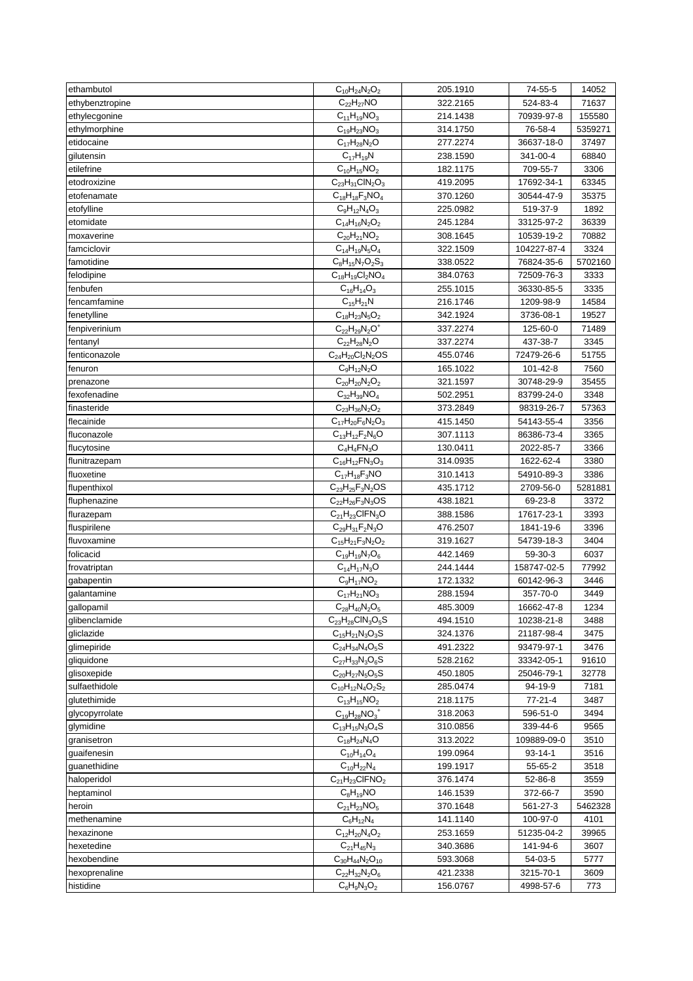| ethambutol      | $C_{10}H_{24}N_2O_2$       | 205.1910 | 74-55-5       | 14052   |
|-----------------|----------------------------|----------|---------------|---------|
| ethybenztropine | $C_{22}H_{27}NO$           | 322.2165 | 524-83-4      | 71637   |
| ethylecgonine   | $C_{11}H_{19}NO_3$         | 214.1438 | 70939-97-8    | 155580  |
| ethylmorphine   | $C_{19}H_{23}NO_3$         | 314.1750 | 76-58-4       | 5359271 |
| etidocaine      | $C_{17}H_{28}N_2O$         | 277.2274 | 36637-18-0    | 37497   |
| gilutensin      | $C_{17}H_{19}N$            | 238.1590 | 341-00-4      | 68840   |
| etilefrine      | $C_{10}H_{15}NO_2$         | 182.1175 | 709-55-7      | 3306    |
| etodroxizine    | $C_{23}H_{31}CIN_2O_3$     | 419.2095 | 17692-34-1    | 63345   |
| etofenamate     | $C_{18}H_{18}F_3NO_4$      | 370.1260 | 30544-47-9    | 35375   |
| etofylline      | $C_9H_{12}N_4O_3$          | 225.0982 | 519-37-9      | 1892    |
| etomidate       | $C_{14}H_{16}N_2O_2$       | 245.1284 | 33125-97-2    | 36339   |
| moxaverine      | $C_{20}H_{21}NO_2$         | 308.1645 | 10539-19-2    | 70882   |
| famciclovir     | $C_{14}H_{19}N_5O_4$       | 322.1509 | 104227-87-4   | 3324    |
| famotidine      | $C_8H_{15}N_7O_2S_3$       | 338.0522 | 76824-35-6    | 5702160 |
| felodipine      | $C_{18}H_{19}Cl_2NO_4$     | 384.0763 | 72509-76-3    | 3333    |
| fenbufen        | $C_{16}H_{14}O_3$          | 255.1015 | 36330-85-5    | 3335    |
| fencamfamine    | $C_{15}H_{21}N$            | 216.1746 | 1209-98-9     | 14584   |
| fenetylline     | $C_{18}H_{23}N_5O_2$       | 342.1924 | 3736-08-1     | 19527   |
| fenpiverinium   | $C_{22}H_{29}N_2O^+$       | 337.2274 | 125-60-0      | 71489   |
| fentanyl        | $C_{22}H_{28}N_2O$         | 337.2274 | 437-38-7      | 3345    |
| fenticonazole   | $C_{24}H_{20}Cl_2N_2OS$    | 455.0746 | 72479-26-6    | 51755   |
| fenuron         | $C_9H_{12}N_2O$            | 165.1022 | 101-42-8      | 7560    |
| prenazone       | $C_{20}H_{20}N_2O_2$       | 321.1597 | 30748-29-9    | 35455   |
| fexofenadine    | $C_{32}H_{39}NO_4$         | 502.2951 | 83799-24-0    | 3348    |
| finasteride     | $C_{23}H_{36}N_2O_2$       | 373.2849 | 98319-26-7    | 57363   |
| flecainide      | $C_{17}H_{20}F_6N_2O_3$    | 415.1450 | 54143-55-4    | 3356    |
| fluconazole     | $C_{13}H_{12}F_{2}N_{6}O$  | 307.1113 | 86386-73-4    | 3365    |
| flucytosine     | $C_4H_4FN_3O$              | 130.0411 | 2022-85-7     | 3366    |
| flunitrazepam   | $C_{16}H_{12}FN_{3}O_{3}$  | 314.0935 | 1622-62-4     | 3380    |
| fluoxetine      | $C_{17}H_{18}F_3NO$        | 310.1413 | 54910-89-3    | 3386    |
| flupenthixol    | $C_{23}H_{25}F_{3}N_{2}OS$ | 435.1712 | 2709-56-0     | 5281881 |
| fluphenazine    | $C_{22}H_{26}F_3N_3OS$     | 438.1821 | 69-23-8       | 3372    |
| flurazepam      | $C_{21}H_{23}CIFN_3O$      | 388.1586 | 17617-23-1    | 3393    |
| fluspirilene    | $C_{29}H_{31}F_2N_3O$      | 476.2507 | 1841-19-6     | 3396    |
| fluvoxamine     | $C_{15}H_{21}F_3N_2O_2$    | 319.1627 | 54739-18-3    | 3404    |
| folicacid       | $C_{19}H_{19}N_7O_6$       | 442.1469 | 59-30-3       | 6037    |
| frovatriptan    | $C_{14}H_{17}N_3O$         | 244.1444 | 158747-02-5   | 77992   |
| gabapentin      | $C_9H_{17}NO_2$            | 172.1332 | 60142-96-3    | 3446    |
| galantamine     | $C_{17}H_{21}NO_3$         | 288.1594 | 357-70-0      | 3449    |
| gallopamil      | $C_{28}H_{40}N_2O_5$       | 485.3009 | 16662-47-8    | 1234    |
| glibenclamide   | $C_{23}H_{28}CIN_3O_5S$    | 494.1510 | 10238-21-8    | 3488    |
| gliclazide      | $C_{15}H_{21}N_3O_3S$      | 324.1376 | 21187-98-4    | 3475    |
| glimepiride     | $C_{24}H_{34}N_{4}O_{5}S$  | 491.2322 | 93479-97-1    | 3476    |
| gliquidone      | $C_{27}H_{33}N_3O_6S$      | 528.2162 | 33342-05-1    | 91610   |
| glisoxepide     | $C_{20}H_{27}N_5O_5S$      | 450.1805 | 25046-79-1    | 32778   |
| sulfaethidole   | $C_{10}H_{12}N_4O_2S_2$    | 285.0474 | 94-19-9       | 7181    |
| glutethimide    | $C_{13}H_{15}NO_2$         | 218.1175 | $77 - 21 - 4$ | 3487    |
| glycopyrrolate  | $C_{19}H_{28}NO_3^+$       | 318.2063 | 596-51-0      | 3494    |
| glymidine       | $C_{13}H_{15}N_3O_4S$      | 310.0856 | 339-44-6      | 9565    |
| granisetron     | $C_{18}H_{24}N_{4}O$       | 313.2022 | 109889-09-0   | 3510    |
| quaifenesin     | $C_{10}H_{14}O_4$          | 199.0964 | $93 - 14 - 1$ | 3516    |
| guanethidine    | $C_{10}H_{22}N_4$          | 199.1917 | 55-65-2       | 3518    |
| haloperidol     | $C_{21}H_{23}CIFNO2$       | 376.1474 | 52-86-8       | 3559    |
| heptaminol      | $C_8H_{19}NO$              | 146.1539 | 372-66-7      | 3590    |
| heroin          | $C_{21}H_{23}NO_5$         | 370.1648 | 561-27-3      | 5462328 |
| methenamine     | $C_6H_{12}N_4$             | 141.1140 | 100-97-0      | 4101    |
| hexazinone      | $C_{12}H_{20}N_{4}O_{2}$   | 253.1659 | 51235-04-2    | 39965   |
| hexetedine      | $C_{21}H_{45}N_3$          | 340.3686 | 141-94-6      | 3607    |
| hexobendine     | $C_{30}H_{44}N_2O_{10}$    | 593.3068 | 54-03-5       | 5777    |
| hexoprenaline   | $C_{22}H_{32}N_2O_6$       | 421.2338 | 3215-70-1     | 3609    |
| histidine       | $C_6H_9N_3O_2$             | 156.0767 | 4998-57-6     | 773     |
|                 |                            |          |               |         |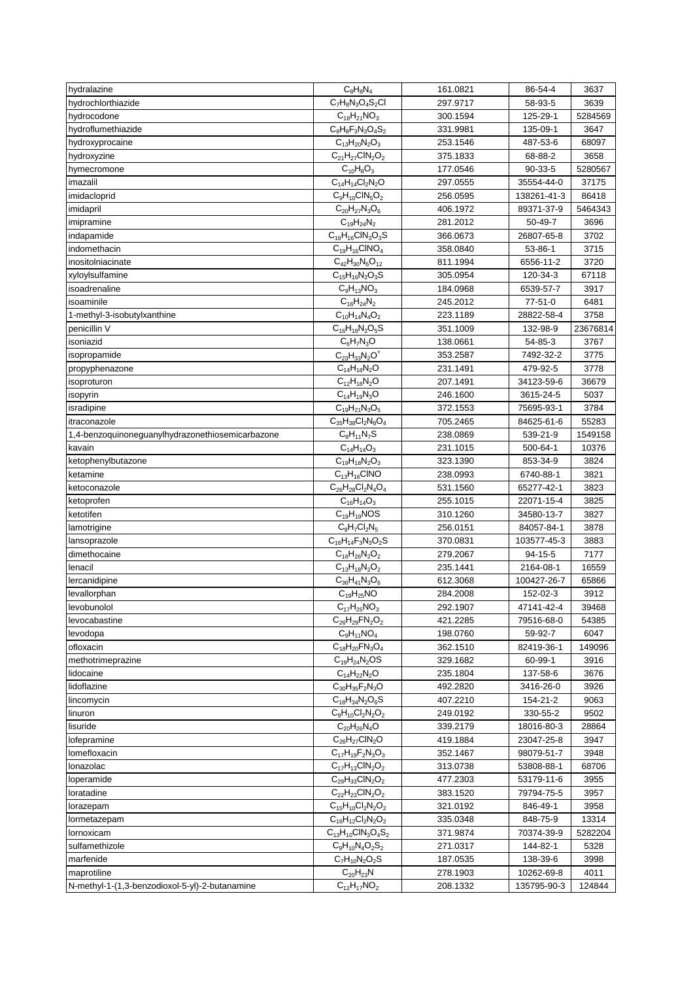| hydralazine                                      | $C_8H_8N_4$                   | 161.0821             | 86-54-4       | 3637         |
|--------------------------------------------------|-------------------------------|----------------------|---------------|--------------|
| hydrochlorthiazide                               | $C_7H_8N_3O_4S_2Cl$           | 297.9717             | 58-93-5       | 3639         |
| hydrocodone                                      | $C_{18}H_{21}NO_3$            | 300.1594             | 125-29-1      | 5284569      |
| hydroflumethiazide                               | $C_8H_8F_3N_3O_4S_2$          | 331.9981             | 135-09-1      | 3647         |
| hydroxyprocaine                                  | $C_{13}H_{20}N_2O_3$          | 253.1546             | 487-53-6      | 68097        |
| hydroxyzine                                      | $C_{21}H_{27}CIN_2O_2$        | 375.1833             | 68-88-2       | 3658         |
| hymecromone                                      | $C_{10}H_8O_3$                | 177.0546             | $90-33-5$     | 5280567      |
| imazalil                                         | $C_{14}H_{14}Cl_2N_2O$        | 297.0555             | 35554-44-0    | 37175        |
| imidacloprid                                     | $C_9H_{10}CIN_5O_2$           | 256.0595             | 138261-41-3   | 86418        |
| imidapril                                        | $C_{20}H_{27}N_3O_6$          | 406.1972             | 89371-37-9    | 5464343      |
| imipramine                                       | $C_{19}H_{24}N_2$             | 281.2012             | 50-49-7       | 3696         |
| indapamide                                       | $C_{16}H_{16}CIN_3O_3S$       | 366.0673             | 26807-65-8    | 3702         |
| indomethacin                                     | $C_{19}H_{16}CINO_4$          | 358.0840             | 53-86-1       | 3715         |
| inositolniacinate                                | $C_{42}H_{30}N_6O_{12}$       | 811.1994             | 6556-11-2     | 3720         |
| xyloylsulfamine                                  | $C_{15}H_{16}N_2O_3S$         | 305.0954             | 120-34-3      | 67118        |
| isoadrenaline                                    | $C_9H_{13}NO_3$               | 184.0968             | 6539-57-7     | 3917         |
| isoaminile                                       | $C_{16}H_{24}N_2$             | 245.2012             | $77 - 51 - 0$ | 6481         |
| 1-methyl-3-isobutylxanthine                      | $C_{10}H_{14}N_4O_2$          | 223.1189             | 28822-58-4    | 3758         |
| penicillin V                                     | $C_{16}H_{18}N_2O_5S$         | 351.1009             | 132-98-9      | 23676814     |
| isoniazid                                        | $C_6H_7N_3O$                  | 138.0661             | 54-85-3       | 3767         |
| isopropamide                                     | $C_{23}H_{33}N_2O^+$          | 353.2587             | 7492-32-2     | 3775         |
| propyphenazone                                   | $C_{14}H_{18}N_2O$            | 231.1491             | 479-92-5      | 3778         |
| isoproturon                                      | $C_{12}H_{18}N_2O$            | 207.1491             | 34123-59-6    | 36679        |
| isopyrin                                         | $C_{14}H_{19}N_3O$            | 246.1600             | 3615-24-5     | 5037         |
| isradipine                                       | $C_{19}H_{21}N_3O_5$          | 372.1553             | 75695-93-1    | 3784         |
| itraconazole                                     | $C_{35}H_{38}Cl_2N_8O_4$      | 705.2465             | 84625-61-6    | 55283        |
| 1,4-benzoquinoneguanylhydrazonethiosemicarbazone | $C_8H_{11}N_7S$               | 238.0869             | 539-21-9      | 1549158      |
| kavain                                           | $C_{14}H_{14}O_3$             | 231.1015             | 500-64-1      | 10376        |
| ketophenylbutazone                               | $C_{19}H_{18}N_2O_3$          | 323.1390             | 853-34-9      | 3824         |
| ketamine                                         | $C_{13}H_{16}CINO$            | 238.0993             | 6740-88-1     | 3821         |
| ketoconazole                                     | $C_{26}H_{28}Cl_2N_4O_4$      | 531.1560             | 65277-42-1    | 3823         |
| ketoprofen                                       | $C_{16}H_{14}O_3$             | 255.1015             | 22071-15-4    | 3825         |
| ketotifen                                        | $C_{19}H_{19}NOS$             | 310.1260             | 34580-13-7    | 3827         |
| lamotrigine                                      | $C_9H_7Cl_2N_5$               | 256.0151             | 84057-84-1    | 3878         |
| lansoprazole                                     | $C_{16}H_{14}F_3N_3O_2S$      | 370.0831             | 103577-45-3   | 3883         |
| dimethocaine                                     | $C_{16}H_{26}N_2O_2$          | 279.2067             | $94 - 15 - 5$ | 7177         |
| lenacil                                          | $C_{13}H_{18}N_2O_2$          | 235.1441             | 2164-08-1     | 16559        |
| lercanidipine                                    | $C_{36}H_{41}N_3O_6$          | 612.3068             | 100427-26-7   | 65866        |
| levallorphan                                     | $C_{19}H_{25}NO$              | 284.2008             | 152-02-3      | 3912         |
| levobunolol                                      | $C_{17}H_{25}NO_3$            | 292.1907             | 47141-42-4    | 39468        |
| levocabastine                                    | $C_{26}H_{29}FN_{2}O_{2}$     | 421.2285             | 79516-68-0    | 54385        |
| levodopa                                         | $C_9H_{11}NO_4$               | 198.0760             | 59-92-7       | 6047         |
| ofloxacin                                        | $C_{18}H_{20}FN_{3}O_{4}$     | 362.1510             | 82419-36-1    | 149096       |
| methotrimeprazine                                | $C_{19}H_{24}N_2OS$           | 329.1682             | 60-99-1       | 3916         |
| lidocaine                                        | $C_{14}H_{22}N_2O$            | 235.1804             | 137-58-6      | 3676         |
| lidoflazine                                      | $C_{30}H_{35}F_2N_3O$         | 492.2820             | 3416-26-0     | 3926         |
| lincomycin                                       | $C_{18}H_{34}N_2O_6S$         | 407.2210             | 154-21-2      | 9063         |
| linuron                                          | $C_9H_{10}Cl_2N_2O_2$         | 249.0192             | 330-55-2      | 9502         |
| lisuride                                         | $C_{20}H_{26}N_4O$            | 339.2179             | 18016-80-3    | 28864        |
| lofepramine                                      | $C_{26}H_{27}CIN_2O$          | 419.1884             | 23047-25-8    | 3947         |
| lomefloxacin                                     | $C_{17}H_{19}F_{2}N_{3}O_{3}$ | 352.1467             | 98079-51-7    | 3948         |
| lonazolac                                        | $C_{17}H_{13}CIN_2O_2$        | 313.0738             | 53808-88-1    | 68706        |
| loperamide                                       | $C_{29}H_{33}CIN_2O_2$        | 477.2303             | 53179-11-6    | 3955         |
|                                                  | $C_{22}H_{23}CIN_2O_2$        |                      | 79794-75-5    |              |
| loratadine                                       | $C_{15}H_{10}Cl_2N_2O_2$      | 383.1520<br>321.0192 | 846-49-1      | 3957<br>3958 |
| lorazepam<br>lormetazepam                        | $C_{16}H_{12}Cl_2N_2O_2$      | 335.0348             | 848-75-9      | 13314        |
|                                                  |                               |                      |               | 5282204      |
| lornoxicam<br>sulfamethizole                     | $C_{13}H_{10}CIN_3O_4S_2$     | 371.9874             | 70374-39-9    |              |
|                                                  | $C_9H_{10}N_4O_2S_2$          | 271.0317             | 144-82-1      | 5328         |
| marfenide                                        | $C_7H_{10}N_2O_2S$            | 187.0535             | 138-39-6      | 3998         |
| maprotiline                                      | $C_{20}H_{23}N$               | 278.1903             | 10262-69-8    | 4011         |
| N-methyl-1-(1,3-benzodioxol-5-yl)-2-butanamine   | $C_{12}H_{17}NO_2$            | 208.1332             | 135795-90-3   | 124844       |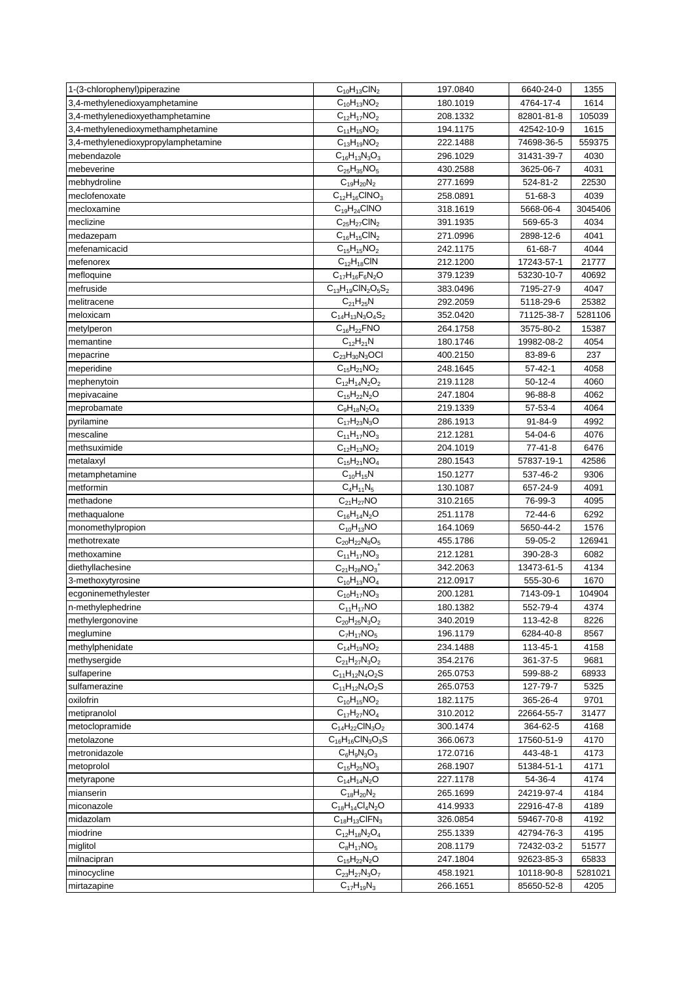| 1-(3-chlorophenyl)piperazine        | $C_{10}H_{13}CIN_2$                   | 197.0840 | 6640-24-0     | 1355    |
|-------------------------------------|---------------------------------------|----------|---------------|---------|
| 3,4-methylenedioxyamphetamine       | $C_{10}H_{13}NO_2$                    | 180.1019 | 4764-17-4     | 1614    |
| 3,4-methylenedioxyethamphetamine    | $C_{12}H_{17}NO_2$                    | 208.1332 | 82801-81-8    | 105039  |
| 3,4-methylenedioxymethamphetamine   | $C_{11}H_{15}NO_2$                    | 194.1175 | 42542-10-9    | 1615    |
| 3,4-methylenedioxypropylamphetamine | $C_{13}H_{19}NO_2$                    | 222.1488 | 74698-36-5    | 559375  |
| mebendazole                         | $\overline{C}_{16}H_{13}N_3O_3$       | 296.1029 | 31431-39-7    | 4030    |
| mebeverine                          | $C_{25}H_{35}NO_5$                    | 430.2588 | 3625-06-7     | 4031    |
| mebhydroline                        | $C_{19}H_{20}N_2$                     | 277.1699 | 524-81-2      | 22530   |
| meclofenoxate                       | $C_{12}H_{16}CINO_3$                  | 258.0891 | 51-68-3       | 4039    |
| mecloxamine                         | $C_{19}H_{24}CINO$                    | 318.1619 | 5668-06-4     | 3045406 |
| meclizine                           | $C_{25}H_{27}CIN_2$                   | 391.1935 | 569-65-3      | 4034    |
| medazepam                           | $C_{16}H_{15}CIN_2$                   | 271.0996 | 2898-12-6     | 4041    |
| mefenamicacid                       | $\overline{C}_{15}H_{15}NO_2$         | 242.1175 | 61-68-7       | 4044    |
| mefenorex                           | $C_{12}H_{18}CIN$                     | 212.1200 | 17243-57-1    | 21777   |
| mefloquine                          | $C_{17}H_{16}F_6N_2O$                 | 379.1239 | 53230-10-7    | 40692   |
| mefruside                           | $C_{13}H_{19}CIN_2O_5S_2$             | 383.0496 | 7195-27-9     | 4047    |
| melitracene                         | $C_{21}H_{25}N$                       | 292.2059 | 5118-29-6     | 25382   |
| meloxicam                           | $C_{14}H_{13}N_3O_4S_2$               | 352.0420 | 71125-38-7    | 5281106 |
| metylperon                          | $C_{16}H_{22}$ FNO                    | 264.1758 | 3575-80-2     | 15387   |
| memantine                           | $C_{12}H_{21}N$                       | 180.1746 | 19982-08-2    | 4054    |
| mepacrine                           | $C_{23}H_{30}N_3$ OCI                 | 400.2150 | 83-89-6       | 237     |
| meperidine                          | $C_{15}H_{21}NO_2$                    | 248.1645 | $57 - 42 - 1$ | 4058    |
| mephenytoin                         | $C_{12}H_{14}N_2O_2$                  | 219.1128 | $50-12-4$     | 4060    |
| mepivacaine                         | $C_{15}H_{22}N_2O$                    | 247.1804 | 96-88-8       | 4062    |
| meprobamate                         | $C_9H_{18}N_2O_4$                     | 219.1339 | 57-53-4       | 4064    |
| pyrilamine                          | $C_{17}H_{23}N_3O$                    | 286.1913 | 91-84-9       | 4992    |
| mescaline                           | $C_{11}H_{17}NO_3$                    | 212.1281 | 54-04-6       | 4076    |
| methsuximide                        | $C_{12}H_{13}NO_2$                    |          |               |         |
|                                     |                                       | 204.1019 | 77-41-8       | 6476    |
| metalaxyl<br>metamphetamine         | $C_{15}H_{21}NO_4$<br>$C_{10}H_{15}N$ | 280.1543 | 57837-19-1    | 42586   |
|                                     |                                       | 150.1277 | 537-46-2      | 9306    |
| metformin                           | $C_4H_{11}N_5$                        | 130.1087 | 657-24-9      | 4091    |
| methadone                           | $C_{21}H_{27}NO$                      | 310.2165 | 76-99-3       | 4095    |
| methaqualone                        | $C_{16}H_{14}N_2O$                    | 251.1178 | 72-44-6       | 6292    |
| monomethylpropion                   | $C_{10}H_{13}NO$                      | 164.1069 | 5650-44-2     | 1576    |
| methotrexate                        | $C_{20}H_{22}N_8O_5$                  | 455.1786 | 59-05-2       | 126941  |
| methoxamine                         | $C_{11}H_{17}NO_3$                    | 212.1281 | 390-28-3      | 6082    |
| diethyllachesine                    | $C_{21}H_{28}NO_3$ <sup>+</sup>       | 342.2063 | 13473-61-5    | 4134    |
| 3-methoxytyrosine                   | $C_{10}H_{13}NO_4$                    | 212.0917 | 555-30-6      | 1670    |
| ecgoninemethylester                 | $C_{10}H_{17}NO_3$                    | 200.1281 | 7143-09-1     | 104904  |
| n-methylephedrine                   | $C_{11}H_{17}NO$                      | 180.1382 | 552-79-4      | 4374    |
| methylergonovine                    | $C_{20}H_{25}N_3O_2$                  | 340.2019 | 113-42-8      | 8226    |
| meglumine                           | $C_7H_{17}NO_5$                       | 196.1179 | 6284-40-8     | 8567    |
| methylphenidate                     | $C_{14}H_{19}NO_2$                    | 234.1488 | 113-45-1      | 4158    |
| methysergide                        | $C_{21}H_{27}N_3O_2$                  | 354.2176 | 361-37-5      | 9681    |
| sulfaperine                         | $C_{11}H_{12}N_4O_2S$                 | 265.0753 | 599-88-2      | 68933   |
| sulfamerazine                       | $C_{11}H_{12}N_4O_2S$                 | 265.0753 | 127-79-7      | 5325    |
| oxilofrin                           | $C_{10}H_{15}NO_2$                    | 182.1175 | 365-26-4      | 9701    |
| metipranolol                        | $C_{17}H_{27}NO_4$                    | 310.2012 | 22664-55-7    | 31477   |
| metoclopramide                      | $C_{14}H_{22}CIN_3O_2$                | 300.1474 | 364-62-5      | 4168    |
| metolazone                          | $C_{16}H_{16}CIN_3O_3S$               | 366.0673 | 17560-51-9    | 4170    |
| metronidazole                       | $C_6H_9N_3O_3$                        | 172.0716 | 443-48-1      | 4173    |
| metoprolol                          | $C_{15}H_{25}NO_3$                    | 268.1907 | 51384-51-1    | 4171    |
| metyrapone                          | $C_{14}H_{14}N_2O$                    | 227.1178 | 54-36-4       | 4174    |
| mianserin                           | $C_{18}H_{20}N_2$                     | 265.1699 | 24219-97-4    | 4184    |
| miconazole                          | $C_{18}H_{14}Cl_4N_2O$                | 414.9933 | 22916-47-8    | 4189    |
| midazolam                           | $C_{18}H_{13}CIFN_3$                  | 326.0854 | 59467-70-8    | 4192    |
| miodrine                            | $C_{12}H_{18}N_2O_4$                  | 255.1339 | 42794-76-3    | 4195    |
| miglitol                            | $C_8H_{17}NO_5$                       | 208.1179 | 72432-03-2    | 51577   |
| milnacipran                         | $C_{15}H_{22}N_{2}O$                  | 247.1804 | 92623-85-3    | 65833   |
| minocycline                         | $C_{23}H_{27}N_3O_7$                  | 458.1921 | 10118-90-8    | 5281021 |
| mirtazapine                         | $C_{17}H_{19}N_3$                     | 266.1651 | 85650-52-8    | 4205    |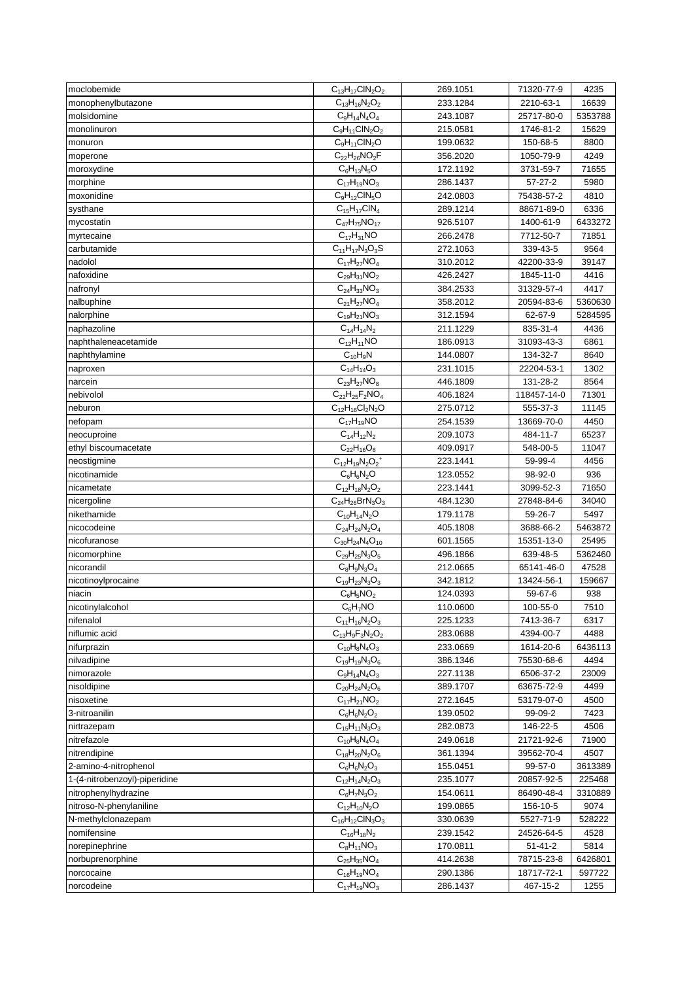| moclobemide                           | $C_{13}H_{17}CIN_2O_2$           | 269.1051             | 71320-77-9             | 4235         |
|---------------------------------------|----------------------------------|----------------------|------------------------|--------------|
| monophenylbutazone                    | $C_{13}H_{16}N_2O_2$             | 233.1284             | 2210-63-1              | 16639        |
| molsidomine                           | $C_9H_{14}N_4O_4$                | 243.1087             | 25717-80-0             | 5353788      |
| monolinuron                           | $C_9H_{11}CIN_2O_2$              | 215.0581             | 1746-81-2              | 15629        |
| monuron                               | $C_9H_{11}CIN_2O$                | 199.0632             | 150-68-5               | 8800         |
| moperone                              | $C_{22}H_{26}NO_2F$              | 356.2020             | 1050-79-9              | 4249         |
| moroxydine                            | $C_6H_{13}N_5O$                  | 172.1192             | 3731-59-7              | 71655        |
| morphine                              | $C_{17}H_{19}NO_3$               | 286.1437             | $57 - 27 - 2$          | 5980         |
| moxonidine                            | $C_9H_{12}CIN_5O$                | 242.0803             | 75438-57-2             | 4810         |
| systhane                              | $C_{15}H_{17}CIN_4$              | 289.1214             | 88671-89-0             | 6336         |
| mycostatin                            | $C_{47}H_{75}NO_{17}$            | 926.5107             | 1400-61-9              | 6433272      |
| myrtecaine                            | $C_{17}H_{31}NO$                 | 266.2478             | 7712-50-7              | 71851        |
| carbutamide                           | $C_{11}H_{17}N_3O_3S$            | 272.1063             | 339-43-5               | 9564         |
| nadolol                               | $C_{17}H_{27}NO_4$               | 310.2012             | 42200-33-9             | 39147        |
| nafoxidine                            | $C_{29}H_{31}NO_2$               | 426.2427             | 1845-11-0              | 4416         |
| nafronyl                              | $C_{24}H_{33}NO_3$               | 384.2533             | 31329-57-4             | 4417         |
| nalbuphine                            | $C_{21}H_{27}NO_4$               | 358.2012             | 20594-83-6             | 5360630      |
| nalorphine                            | $C_{19}H_{21}NO_3$               | 312.1594             | 62-67-9                | 5284595      |
| naphazoline                           | $C_{14}H_{14}N_2$                | 211.1229             | 835-31-4               | 4436         |
|                                       |                                  |                      |                        |              |
| naphthaleneacetamide<br>naphthylamine | $C_{12}H_{11}NO$<br>$C_{10}H_9N$ | 186.0913<br>144.0807 | 31093-43-3<br>134-32-7 | 6861<br>8640 |
|                                       |                                  |                      |                        | 1302         |
| naproxen                              | $C_{14}H_{14}O_3$                | 231.1015             | 22204-53-1             |              |
| narcein                               | $C_{23}H_{27}NO_8$               | 446.1809             | 131-28-2               | 8564         |
| nebivolol                             | $C_{22}H_{25}F_{2}NO_{4}$        | 406.1824             | 118457-14-0            | 71301        |
| neburon                               | $C_{12}H_{16}Cl_2N_2O$           | 275.0712             | 555-37-3               | 11145        |
| nefopam                               | $C_{17}H_{19}NO$                 | 254.1539             | 13669-70-0             | 4450         |
| neocuproine                           | $C_{14}H_{12}N_2$                | 209.1073             | 484-11-7               | 65237        |
| ethyl biscoumacetate                  | $C_{22}H_{16}O_8$                | 409.0917             | 548-00-5               | 11047        |
| neostigmine                           | $C_{12}H_{19}N_2O_2^+$           | 223.1441             | 59-99-4                | 4456         |
| nicotinamide                          | $C_6H_6N_2O$                     | 123.0552             | 98-92-0                | 936          |
| nicametate                            | $C_{12}H_{18}N_2O_2$             | 223.1441             | 3099-52-3              | 71650        |
| nicergoline                           | $C_{24}H_{26}BrN_3O_3$           | 484.1230             | 27848-84-6             | 34040        |
| nikethamide                           | $C_{10}H_{14}N_2O$               | 179.1178             | 59-26-7                | 5497         |
| nicocodeine                           | $C_{24}H_{24}N_2O_4$             | 405.1808             | 3688-66-2              | 5463872      |
| nicofuranose                          | $C_{30}H_{24}N_{4}O_{10}$        | 601.1565             | 15351-13-0             | 25495        |
| nicomorphine                          | $C_{29}H_{25}N_3O_5$             | 496.1866             | 639-48-5               | 5362460      |
| nicorandil                            | $C_8H_9N_3O_4$                   | 212.0665             | 65141-46-0             | 47528        |
| nicotinoylprocaine                    | $C_{19}H_{23}N_3O_3$             | 342.1812             | 13424-56-1             | 159667       |
| niacin                                | $C_6H_5NO_2$                     | 124.0393             | 59-67-6                | 938          |
| nicotinylalcohol                      | $\overline{C_6H_7NO}$            | 110.0600             | 100-55-0               | 7510         |
| nifenalol                             | $C_{11}H_{16}N_2O_3$             | 225.1233             | 7413-36-7              | 6317         |
| niflumic acid                         | $C_{13}H_9F_3N_2O_2$             | 283.0688             | 4394-00-7              | 4488         |
| nifurprazin                           | $C_{10}H_8N_4O_3$                | 233.0669             | 1614-20-6              | 6436113      |
| nilvadipine                           | $C_{19}H_{19}N_3O_6$             | 386.1346             | 75530-68-6             | 4494         |
| nimorazole                            | $C_9H_{14}N_4O_3$                | 227.1138             | 6506-37-2              | 23009        |
| nisoldipine                           | $C_{20}H_{24}N_2O_6$             | 389.1707             | 63675-72-9             | 4499         |
| nisoxetine                            | $C_{17}H_{21}NO_2$               | 272.1645             | 53179-07-0             | 4500         |
| 3-nitroanilin                         | $C_6H_6N_2O_2$                   | 139.0502             | 99-09-2                | 7423         |
| nirtrazepam                           | $C_{15}H_{11}N_3O_3$             | 282.0873             | 146-22-5               | 4506         |
| nitrefazole                           | $C_{10}H_8N_4O_4$                | 249.0618             | 21721-92-6             | 71900        |
| nitrendipine                          | $C_{18}H_{20}N_2O_6$             | 361.1394             | 39562-70-4             | 4507         |
| 2-amino-4-nitrophenol                 | $C_6H_6N_2O_3$                   | 155.0451             | 99-57-0                | 3613389      |
| 1-(4-nitrobenzoyl)-piperidine         | $C_{12}H_{14}N_2O_3$             | 235.1077             | 20857-92-5             | 225468       |
| nitrophenylhydrazine                  | $C_6H_7N_3O_2$                   | 154.0611             | 86490-48-4             | 3310889      |
| nitroso-N-phenylaniline               | $C_{12}H_{10}N_2O$               | 199.0865             | 156-10-5               | 9074         |
| N-methylclonazepam                    | $C_{16}H_{12}CIN_3O_3$           | 330.0639             | 5527-71-9              | 528222       |
| nomifensine                           | $C_{16}H_{18}N_2$                | 239.1542             | 24526-64-5             | 4528         |
| norepinephrine                        | $C_8H_{11}NO_3$                  | 170.0811             | 51-41-2                | 5814         |
| norbuprenorphine                      | $C_{25}H_{35}NO_4$               | 414.2638             | 78715-23-8             | 6426801      |
| norcocaine                            | $C_{16}H_{19}NO_4$               | 290.1386             | 18717-72-1             | 597722       |
| norcodeine                            | $C_{17}H_{19}NO_3$               | 286.1437             | 467-15-2               | 1255         |
|                                       |                                  |                      |                        |              |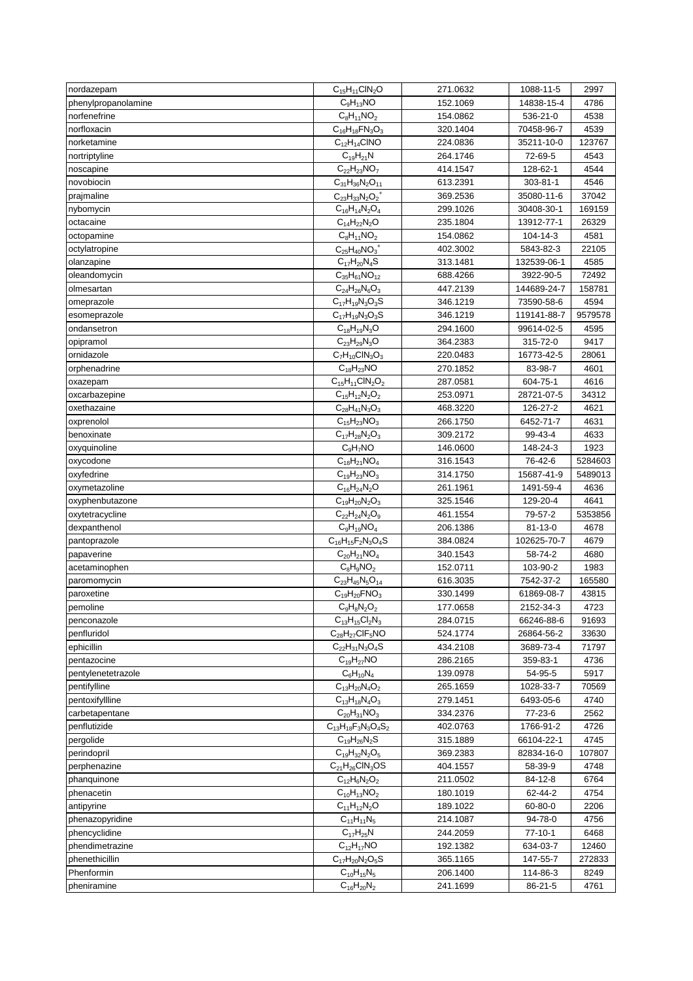| nordazepam          | $C_{15}H_{11}CIN_2O$           | 271.0632 | 1088-11-5   | 2997           |
|---------------------|--------------------------------|----------|-------------|----------------|
| phenylpropanolamine | $C_9H_{13}NO$                  | 152.1069 | 14838-15-4  | 4786           |
| norfenefrine        | $C_8H_{11}NO_2$                | 154.0862 | 536-21-0    | 4538           |
| norfloxacin         | $C_{16}H_{18}FN_{3}O_{3}$      | 320.1404 | 70458-96-7  | 4539           |
| norketamine         | $C_{12}H_{14}CINO$             | 224.0836 | 35211-10-0  | 123767         |
| nortriptyline       | $C_{19}H_{21}N$                | 264.1746 | 72-69-5     | 4543           |
| noscapine           | $C_{22}H_{23}NO_7$             | 414.1547 | 128-62-1    | 4544           |
| novobiocin          | $C_{31}H_{36}N_2O_{11}$        | 613.2391 | 303-81-1    | 4546           |
| prajmaline          | $C_{23}H_{33}N_2O_2^+$         | 369.2536 | 35080-11-6  | 37042          |
| nybomycin           | $C_{16}H_{14}N_2O_4$           | 299.1026 | 30408-30-1  | 169159         |
| octacaine           | $C_{14}H_{22}N_2O$             | 235.1804 | 13912-77-1  | 26329          |
| octopamine          | $C_8H_{11}NO_2$                | 154.0862 | 104-14-3    | 4581           |
|                     |                                | 402.3002 | 5843-82-3   | 22105          |
| octylatropine       | $C_{25}H_{40}NO_3^+$           | 313.1481 |             |                |
| olanzapine          | $C_{17}H_{20}N_4S$             |          | 132539-06-1 | 4585           |
| oleandomycin        | $C_{35}H_{61}NO_{12}$          | 688.4266 | 3922-90-5   | 72492          |
| olmesartan          | $C_{24}H_{26}N_6O_3$           | 447.2139 | 144689-24-7 | 158781         |
| omeprazole          | $C_{17}H_{19}N_3O_3S$          | 346.1219 | 73590-58-6  | 4594           |
| esomeprazole        | $C_{17}H_{19}N_3O_3S$          | 346.1219 | 119141-88-7 | 9579578        |
| ondansetron         | $C_{18}H_{19}N_3O$             | 294.1600 | 99614-02-5  | 4595           |
| opipramol           | $C_{23}H_{29}N_3O$             | 364.2383 | 315-72-0    | 9417           |
| ornidazole          | $\overline{C_7}H_{10}CIN_3O_3$ | 220.0483 | 16773-42-5  | 28061          |
| orphenadrine        | $C_{18}H_{23}NO$               | 270.1852 | 83-98-7     | 4601           |
| oxazepam            | $C_{15}H_{11}CIN_2O_2$         | 287.0581 | 604-75-1    | 4616           |
| oxcarbazepine       | $C_{15}H_{12}N_2O_2$           | 253.0971 | 28721-07-5  | 34312          |
| oxethazaine         | $C_{28}H_{41}N_3O_3$           | 468.3220 | 126-27-2    | 4621           |
| oxprenolol          | $C_{15}H_{23}NO_3$             | 266.1750 | 6452-71-7   | 4631           |
| benoxinate          | $C_{17}H_{28}N_2O_3$           | 309.2172 | 99-43-4     | 4633           |
| oxyquinoline        | $C_9H_7NO$                     | 146.0600 | 148-24-3    | 1923           |
| oxycodone           | $C_{18}H_{21}NO_4$             | 316.1543 | 76-42-6     | 5284603        |
| oxyfedrine          | $C_{19}H_{23}NO_3$             | 314.1750 | 15687-41-9  | 5489013        |
| oxymetazoline       | $C_{16}H_{24}N_2O$             | 261.1961 | 1491-59-4   | 4636           |
| oxyphenbutazone     | $C_{19}H_{20}N_2O_3$           | 325.1546 | 129-20-4    | 4641           |
| oxytetracycline     | $C_{22}H_{24}N_2O_9$           | 461.1554 | 79-57-2     | 5353856        |
| dexpanthenol        | $C_9H_{19}NO_4$                | 206.1386 | 81-13-0     | 4678           |
| pantoprazole        | $C_{16}H_{15}F_2N_3O_4S$       | 384.0824 | 102625-70-7 | 4679           |
| papaverine          | $C_{20}H_{21}NO_4$             | 340.1543 | 58-74-2     | 4680           |
| acetaminophen       | $C_8H_9NO_2$                   | 152.0711 | 103-90-2    | 1983           |
| paromomycin         | $C_{23}H_{45}N_5O_{14}$        | 616.3035 | 7542-37-2   | 165580         |
| paroxetine          | $C_{19}H_{20}FNO_3$            | 330.1499 | 61869-08-7  | 43815          |
| pemoline            | $C_9H_8N_2O_2$                 | 177.0658 | 2152-34-3   | 4723           |
| penconazole         | $C_{13}H_{15}Cl_2N_3$          | 284.0715 | 66246-88-6  | 91693          |
| penfluridol         | $C_{28}H_{27}CIF_5NO$          |          |             |                |
|                     | $C_{22}H_{31}N_3O_4S$          | 524.1774 | 26864-56-2  | 33630<br>71797 |
| ephicillin          |                                | 434.2108 | 3689-73-4   |                |
| pentazocine         | $C_{19}H_{27}NO$               | 286.2165 | 359-83-1    | 4736           |
| pentylenetetrazole  | $C_6H_{10}N_4$                 | 139.0978 | 54-95-5     | 5917           |
| pentifylline        | $C_{13}H_{20}N_4O_2$           | 265.1659 | 1028-33-7   | 70569          |
| pentoxifyllline     | $C_{13}H_{18}N_4O_3$           | 279.1451 | 6493-05-6   | 4740           |
| carbetapentane      | $C_{20}H_{31}NO_3$             | 334.2376 | 77-23-6     | 2562           |
| penflutizide        | $C_{13}H_{18}F_3N_3O_4S_2$     | 402.0763 | 1766-91-2   | 4726           |
| pergolide           | $C_{19}H_{26}N_2S$             | 315.1889 | 66104-22-1  | 4745           |
| perindopril         | $C_{19}H_{32}N_2O_5$           | 369.2383 | 82834-16-0  | 107807         |
| perphenazine        | $C_{21}H_{26}CIN_3OS$          | 404.1557 | 58-39-9     | 4748           |
| phanquinone         | $C_{12}H_6N_2O_2$              | 211.0502 | 84-12-8     | 6764           |
| phenacetin          | $C_{10}H_{13}NO_2$             | 180.1019 | 62-44-2     | 4754           |
| antipyrine          | $C_{11}H_{12}N_2O$             | 189.1022 | 60-80-0     | 2206           |
| phenazopyridine     | $C_{11}H_{11}N_5$              | 214.1087 | 94-78-0     | 4756           |
| phencyclidine       | $C_{17}H_{25}N$                | 244.2059 | $77-10-1$   | 6468           |
| phendimetrazine     | $C_{12}H_{17}NO$               | 192.1382 | 634-03-7    | 12460          |
| phenethicillin      | $C_{17}H_{20}N_2O_5S$          | 365.1165 | 147-55-7    | 272833         |
| Phenformin          | $C_{10}H_{15}N_5$              | 206.1400 | 114-86-3    | 8249           |
| pheniramine         | $C_{16}H_{20}N_2$              | 241.1699 | 86-21-5     | 4761           |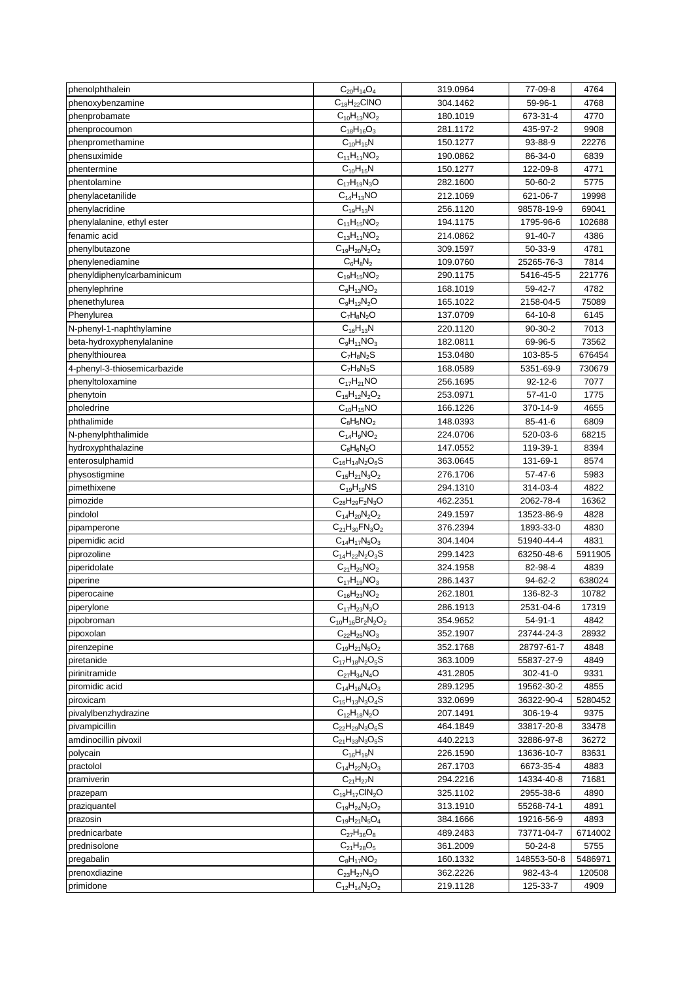| phenolphthalein              | $C_{20}H_{14}O_4$         | 319.0964 | 77-09-8       | 4764    |
|------------------------------|---------------------------|----------|---------------|---------|
| phenoxybenzamine             | $C_{18}H_{22}CINO$        | 304.1462 | 59-96-1       | 4768    |
| phenprobamate                | $C_{10}H_{13}NO_2$        | 180.1019 | 673-31-4      | 4770    |
| phenprocoumon                | $C_{18}H_{16}O_3$         | 281.1172 | 435-97-2      | 9908    |
| phenpromethamine             | $C_{10}H_{15}N$           | 150.1277 | 93-88-9       | 22276   |
| phensuximide                 | $C_{11}H_{11}NO_2$        | 190.0862 | 86-34-0       | 6839    |
| phentermine                  | $C_{10}H_{15}N$           | 150.1277 | 122-09-8      | 4771    |
| phentolamine                 | $C_{17}H_{19}N_3O$        | 282.1600 | 50-60-2       | 5775    |
| phenylacetanilide            | $C_{14}H_{13}NO$          | 212.1069 | 621-06-7      | 19998   |
| phenylacridine               | $C_{19}H_{13}N$           | 256.1120 | 98578-19-9    | 69041   |
| phenylalanine, ethyl ester   | $C_{11}H_{15}NO_2$        | 194.1175 | 1795-96-6     | 102688  |
| fenamic acid                 | $C_{13}H_{11}NO_2$        | 214.0862 | $91 - 40 - 7$ | 4386    |
| phenylbutazone               | $C_{19}H_{20}N_2O_2$      | 309.1597 | 50-33-9       | 4781    |
| phenylenediamine             | $C_6H_8N_2$               | 109.0760 | 25265-76-3    | 7814    |
| phenyldiphenylcarbaminicum   | $C_{19}H_{15}NO_2$        | 290.1175 | 5416-45-5     | 221776  |
| phenylephrine                | $C_9H_{13}NO_2$           | 168.1019 | 59-42-7       | 4782    |
| phenethylurea                | $C_9H_{12}N_2O$           | 165.1022 | 2158-04-5     | 75089   |
| Phenylurea                   | $C_7H_8N_2O$              | 137.0709 | 64-10-8       | 6145    |
| N-phenyl-1-naphthylamine     | $C_{16}H_{13}N$           | 220.1120 | $90-30-2$     | 7013    |
| beta-hydroxyphenylalanine    | $C_9H_{11}NO_3$           | 182.0811 | 69-96-5       | 73562   |
| phenylthiourea               | $C_7H_8N_2S$              | 153.0480 | 103-85-5      | 676454  |
| 4-phenyl-3-thiosemicarbazide | $C_7H_9N_3S$              | 168.0589 | 5351-69-9     | 730679  |
| phenyltoloxamine             | $C_{17}H_{21}NO$          | 256.1695 | $92 - 12 - 6$ | 7077    |
| phenytoin                    | $C_{15}H_{12}N_2O_2$      | 253.0971 | $57 - 41 - 0$ | 1775    |
| pholedrine                   | $C_{10}H_{15}NO$          | 166.1226 | 370-14-9      | 4655    |
| phthalimide                  | $C_8H_5NO_2$              | 148.0393 | $85 - 41 - 6$ | 6809    |
| N-phenylphthalimide          | $C_{14}H_9NO_2$           | 224.0706 | 520-03-6      | 68215   |
| hydroxyphthalazine           | $C_8H_6N_2O$              | 147.0552 | 119-39-1      | 8394    |
| enterosulphamid              | $C_{16}H_{14}N_2O_6S$     | 363.0645 | 131-69-1      | 8574    |
| physostigmine                | $C_{15}H_{21}N_3O_2$      | 276.1706 | 57-47-6       | 5983    |
| pimethixene                  | $C_{19}H_{19}NS$          | 294.1310 | 314-03-4      | 4822    |
| pimozide                     | $C_{28}H_{29}F_{2}N_{3}O$ | 462.2351 | 2062-78-4     | 16362   |
| pindolol                     | $C_{14}H_{20}N_2O_2$      | 249.1597 | 13523-86-9    | 4828    |
| pipamperone                  | $C_{21}H_{30}FN_{3}O_{2}$ | 376.2394 | 1893-33-0     | 4830    |
| pipemidic acid               | $C_{14}H_{17}N_5O_3$      | 304.1404 | 51940-44-4    | 4831    |
| piprozoline                  | $C_{14}H_{22}N_2O_3S$     | 299.1423 | 63250-48-6    | 5911905 |
| piperidolate                 | $C_{21}H_{25}NO_2$        | 324.1958 | 82-98-4       | 4839    |
| piperine                     | $C_{17}H_{19}NO_3$        | 286.1437 | 94-62-2       | 638024  |
| piperocaine                  | $C_{16}H_{23}NO_2$        | 262.1801 | 136-82-3      | 10782   |
| piperylone                   | $C_{17}H_{23}N_3O$        | 286.1913 | 2531-04-6     | 17319   |
| pipobroman                   | $C_{10}H_{16}Br_2N_2O_2$  | 354.9652 | $54 - 91 - 1$ | 4842    |
| pipoxolan                    | $C_{22}H_{25}NO_3$        | 352.1907 | 23744-24-3    | 28932   |
| pirenzepine                  | $C_{19}H_{21}N_5O_2$      | 352.1768 | 28797-61-7    | 4848    |
| piretanide                   | $C_{17}H_{18}N_2O_5S$     | 363.1009 | 55837-27-9    | 4849    |
| pirinitramide                | $C_{27}H_{34}N_4O$        | 431.2805 | 302-41-0      | 9331    |
| piromidic acid               | $C_{14}H_{16}N_4O_3$      | 289.1295 | 19562-30-2    | 4855    |
| piroxicam                    | $C_{15}H_{13}N_3O_4S$     | 332.0699 | 36322-90-4    | 5280452 |
| pivalylbenzhydrazine         | $C_{12}H_{18}N_2O$        | 207.1491 | 306-19-4      | 9375    |
| pivampicillin                | $C_{22}H_{29}N_3O_6S$     | 464.1849 | 33817-20-8    | 33478   |
| amdinocillin pivoxil         | $C_{21}H_{33}N_3O_5S$     | 440.2213 | 32886-97-8    | 36272   |
| polycain                     | $C_{16}H_{19}N$           | 226.1590 | 13636-10-7    | 83631   |
| practolol                    | $C_{14}H_{22}N_2O_3$      | 267.1703 | 6673-35-4     | 4883    |
| pramiverin                   | $C_{21}H_{27}N$           | 294.2216 | 14334-40-8    | 71681   |
| prazepam                     | $C_{19}H_{17}CIN_2O$      | 325.1102 | 2955-38-6     | 4890    |
| praziquantel                 | $C_{19}H_{24}N_2O_2$      | 313.1910 | 55268-74-1    | 4891    |
| prazosin                     | $C_{19}H_{21}N_5O_4$      | 384.1666 | 19216-56-9    | 4893    |
| prednicarbate                | $C_{27}H_{36}O_8$         | 489.2483 | 73771-04-7    | 6714002 |
| prednisolone                 | $C_{21}H_{28}O_5$         | 361.2009 | 50-24-8       | 5755    |
| pregabalin                   | $C_8H_{17}NO_2$           | 160.1332 | 148553-50-8   | 5486971 |
| prenoxdiazine                | $C_{23}H_{27}N_3O$        | 362.2226 | 982-43-4      | 120508  |
| primidone                    | $C_{12}H_{14}N_2O_2$      | 219.1128 | 125-33-7      | 4909    |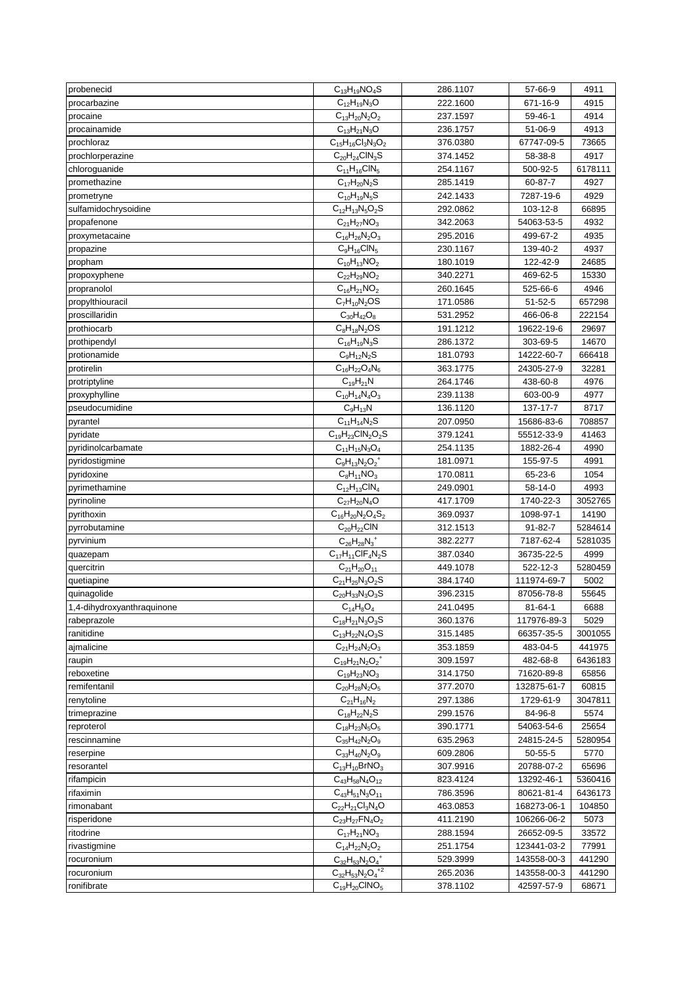| probenecid                      | $C_{13}H_{19}NO_4S$                                    | 286.1107             | 57-66-9                  | 4911            |
|---------------------------------|--------------------------------------------------------|----------------------|--------------------------|-----------------|
| procarbazine                    | $C_{12}H_{19}N_3O$                                     | 222.1600             | 671-16-9                 | 4915            |
| procaine                        | $C_{13}H_{20}N_2O_2$                                   | 237.1597             | 59-46-1                  | 4914            |
| procainamide                    | $C_{13}H_{21}N_3O$                                     | 236.1757             | 51-06-9                  | 4913            |
| prochloraz                      | $C_{15}H_{16}Cl_3N_3O_2$                               | 376.0380             | 67747-09-5               | 73665           |
| prochlorperazine                | $C_{20}H_{24}CIN_3S$                                   | 374.1452             | 58-38-8                  | 4917            |
| chloroguanide                   | $C_{11}H_{16}CIN_5$                                    | 254.1167             | 500-92-5                 | 6178111         |
| promethazine                    | $C_{17}H_{20}N_2S$                                     | 285.1419             | 60-87-7                  | 4927            |
| prometryne                      | $C_{10}H_{19}N_5S$                                     | 242.1433             | 7287-19-6                | 4929            |
| sulfamidochrysoidine            | $C_{12}H_{13}N_5O_2S$                                  | 292.0862             | 103-12-8                 | 66895           |
| propafenone                     | $C_{21}H_{27}NO_3$                                     | 342.2063             | 54063-53-5               | 4932            |
| proxymetacaine                  | $C_{16}H_{26}N_2O_3$                                   | 295.2016             | 499-67-2                 | 4935            |
| propazine                       | $C_9H_{16}CIN_5$                                       | 230.1167             | 139-40-2                 | 4937            |
| propham                         | $C_{10}H_{13}NO_2$                                     | 180.1019             | 122-42-9                 | 24685           |
| propoxyphene                    | $C_{22}H_{29}NO_2$                                     | 340.2271             | 469-62-5                 | 15330           |
| propranolol                     | $C_{16}H_{21}NO_2$                                     | 260.1645             | 525-66-6                 | 4946            |
| propylthiouracil                | $C_7H_{10}N_2OS$                                       | 171.0586             | 51-52-5                  | 657298          |
| proscillaridin                  | $C_{30}H_{42}O_8$                                      | 531.2952             | 466-06-8                 | 222154          |
| prothiocarb                     | $C_8H_{18}N_2OS$                                       | 191.1212             | 19622-19-6               | 29697           |
| prothipendyl                    | $C_{16}H_{19}N_3S$                                     | 286.1372             | 303-69-5                 | 14670           |
| protionamide                    | $C_9H_{12}N_2S$                                        |                      |                          |                 |
| protirelin                      | $C_{16}H_{22}O_4N_6$                                   | 181.0793<br>363.1775 | 14222-60-7<br>24305-27-9 | 666418<br>32281 |
|                                 |                                                        |                      |                          |                 |
| protriptyline                   | $C_{19}H_{21}N$<br>$\overline{C}_{10}H_{14}N_{4}O_{3}$ | 264.1746             | 438-60-8                 | 4976            |
| proxyphylline<br>pseudocumidine |                                                        | 239.1138             | 603-00-9                 | 4977            |
|                                 | $C_9H_{13}N$                                           | 136.1120             | 137-17-7                 | 8717            |
| pyrantel                        | $C_{11}H_{14}N_2S$                                     | 207.0950             | 15686-83-6               | 708857          |
| pyridate                        | $C_{19}H_{23}CIN_2O_2S$                                | 379.1241             | 55512-33-9               | 41463           |
| pyridinolcarbamate              | $C_{11}H_{15}N_3O_4$                                   | 254.1135             | 1882-26-4                | 4990            |
| pyridostigmine                  | $C_9H_{13}N_2O_2^+$                                    | 181.0971             | 155-97-5                 | 4991            |
| pyridoxine                      | $C_8H_{11}NO_3$                                        | 170.0811             | 65-23-6                  | 1054            |
| pyrimethamine                   | $C_{12}H_{13}CIN_4$                                    | 249.0901             | 58-14-0                  | 4993            |
| pyrinoline                      | $C_{27}H_{20}N_4O$                                     | 417.1709             | 1740-22-3                | 3052765         |
| pyrithoxin                      | $C_{16}H_{20}N_2O_4S_2$                                | 369.0937             | 1098-97-1                | 14190           |
| pyrrobutamine                   | $C_{20}H_{22}CIN$                                      | 312.1513             | 91-82-7                  | 5284614         |
| pyrvinium                       | $C_{26}H_{28}N_3^+$                                    | 382.2277             | 7187-62-4                | 5281035         |
| quazepam                        | $C_{17}H_{11}CIF_4N_2S$                                | 387.0340             | 36735-22-5               | 4999            |
| quercitrin                      | $C_{21}H_{20}O_{11}$                                   | 449.1078             | 522-12-3                 | 5280459         |
| quetiapine                      | $C_{21}H_{25}N_3O_2S$                                  | 384.1740             | 111974-69-7              | 5002            |
| quinagolide                     | $C_{20}H_{33}N_3O_3S$                                  | 396.2315             | 87056-78-8               | 55645           |
| 1,4-dihydroxyanthraquinone      | $C_{14}H_8O_4$                                         | 241.0495             | 81-64-1                  | 6688            |
| rabeprazole                     | $C_{18}H_{21}N_3O_3S$                                  | 360.1376             | 117976-89-3              | 5029            |
| ranitidine                      | $C_{13}H_{22}N_4O_3S$                                  | 315.1485             | 66357-35-5               | 3001055         |
| ajmalicine                      | $C_{21}H_{24}N_2O_3$                                   | 353.1859             | 483-04-5                 | 441975          |
| raupin                          | $C_{19}H_{21}N_2O_2^+$                                 | 309.1597             | 482-68-8                 | 6436183         |
| reboxetine                      | $C_{19}H_{23}NO_3$                                     | 314.1750             | 71620-89-8               | 65856           |
| remifentanil                    | $C_{20}H_{28}N_2O_5$                                   | 377.2070             | 132875-61-7              | 60815           |
| renytoline                      | $C_{21}H_{16}N_2$                                      | 297.1386             | 1729-61-9                | 3047811         |
| trimeprazine                    | $C_{18}H_{22}N_2S$                                     | 299.1576             | 84-96-8                  | 5574            |
| reproterol                      | $C_{18}H_{23}N_5O_5$                                   | 390.1771             | 54063-54-6               | 25654           |
| rescinnamine                    | $C_{35}H_{42}N_2O_9$                                   | 635.2963             | 24815-24-5               | 5280954         |
| reserpine                       | $C_{33}H_{40}N_2O_9$                                   | 609.2806             | 50-55-5                  | 5770            |
| resorantel                      | $C_{13}H_{10}BrNO_3$                                   | 307.9916             | 20788-07-2               | 65696           |
| rifampicin                      | $C_{43}H_{58}N_4O_{12}$                                | 823.4124             | 13292-46-1               | 5360416         |
| rifaximin                       | $C_{43}H_{51}N_3O_{11}$                                | 786.3596             | 80621-81-4               | 6436173         |
| rimonabant                      | $C_{22}H_{21}Cl_3N_4O$                                 | 463.0853             | 168273-06-1              | 104850          |
| risperidone                     | $C_{23}H_{27}FN_{4}O_{2}$                              | 411.2190             | 106266-06-2              | 5073            |
| ritodrine                       | $C_{17}H_{21}NO_3$                                     | 288.1594             | 26652-09-5               | 33572           |
| rivastigmine                    | $C_{14}H_{22}N_2O_2$                                   | 251.1754             | 123441-03-2              | 77991           |
| rocuronium                      | $C_{32}H_{53}N_2O_4^+$                                 | 529.3999             | 143558-00-3              | 441290          |
| rocuronium                      | $C_{32}H_{53}N_2O_4^{+2}$                              | 265.2036             | 143558-00-3              | 441290          |
| ronifibrate                     | $C_{19}H_{20}CINO_5$                                   | 378.1102             | 42597-57-9               | 68671           |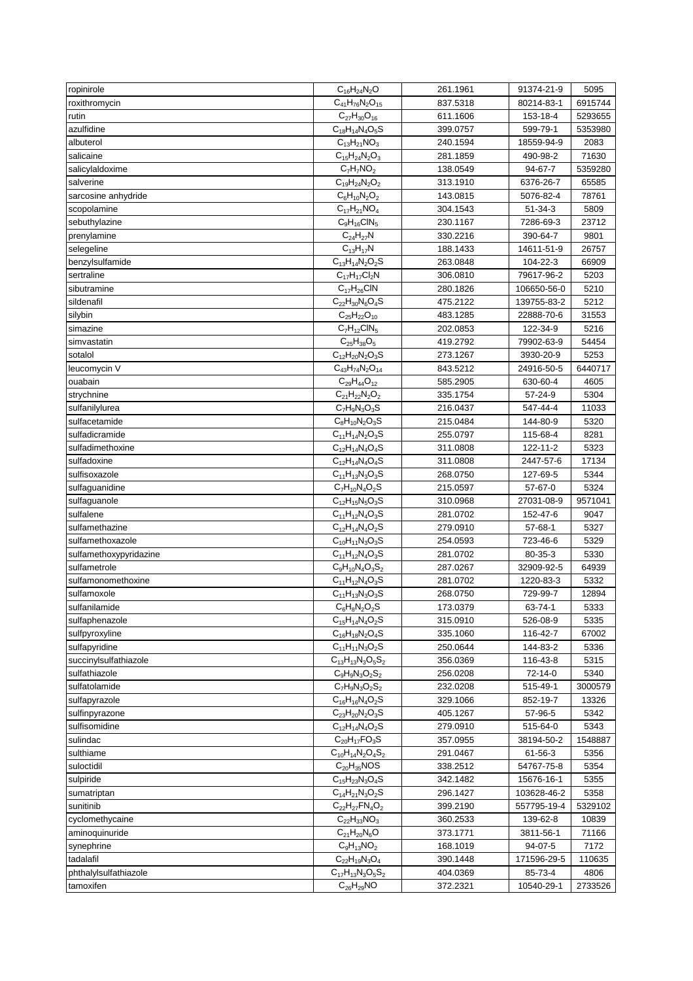| ropinirole             | $C_{16}H_{24}N_2O$        | 261.1961 | 91374-21-9    | 5095    |
|------------------------|---------------------------|----------|---------------|---------|
| roxithromycin          | $C_{41}H_{76}N_2O_{15}$   | 837.5318 | 80214-83-1    | 6915744 |
| rutin                  | $C_{27}H_{30}O_{16}$      | 611.1606 | 153-18-4      | 5293655 |
| azulfidine             | $C_{18}H_{14}N_4O_5S$     | 399.0757 | 599-79-1      | 5353980 |
| albuterol              | $C_{13}H_{21}NO_3$        | 240.1594 | 18559-94-9    | 2083    |
| salicaine              | $C_{15}H_{24}N_2O_3$      | 281.1859 | 490-98-2      | 71630   |
| salicylaldoxime        | $C_7H_7NO_2$              | 138.0549 | 94-67-7       | 5359280 |
| salverine              | $C_{19}H_{24}N_2O_2$      | 313.1910 | 6376-26-7     | 65585   |
| sarcosine anhydride    | $C_6H_{10}N_2O_2$         | 143.0815 | 5076-82-4     | 78761   |
| scopolamine            | $C_{17}H_{21}NO_4$        | 304.1543 | $51 - 34 - 3$ | 5809    |
| sebuthylazine          | $C_9H_{16}CIN_5$          | 230.1167 | 7286-69-3     | 23712   |
| prenylamine            | $C_{24}H_{27}N$           | 330.2216 | 390-64-7      | 9801    |
| selegeline             | $C_{13}H_{17}N$           | 188.1433 | 14611-51-9    | 26757   |
| benzylsulfamide        | $C_{13}H_{14}N_2O_2S$     | 263.0848 | 104-22-3      | 66909   |
| sertraline             | $C_{17}H_{17}Cl_2N$       | 306.0810 | 79617-96-2    | 5203    |
| sibutramine            | $C_{17}H_{26}CIN$         | 280.1826 | 106650-56-0   | 5210    |
| sildenafil             | $C_{22}H_{30}N_6O_4S$     | 475.2122 | 139755-83-2   | 5212    |
| silybin                | $C_{25}H_{22}O_{10}$      | 483.1285 | 22888-70-6    | 31553   |
| simazine               | $C_7H_{12}CIN_5$          | 202.0853 | 122-34-9      | 5216    |
| simvastatin            | $C_{25}H_{38}O_5$         | 419.2792 | 79902-63-9    | 54454   |
| sotalol                | $C_{12}H_{20}N_2O_3S$     | 273.1267 | 3930-20-9     | 5253    |
| leucomycin V           | $C_{43}H_{74}N_2O_{14}$   | 843.5212 | 24916-50-5    | 6440717 |
| ouabain                | $C_{29}H_{44}O_{12}$      | 585.2905 | 630-60-4      | 4605    |
| strychnine             | $C_{21}H_{22}N_2O_2$      | 335.1754 | 57-24-9       | 5304    |
| sulfanilylurea         | $C_7H_9N_3O_3S$           | 216.0437 | 547-44-4      | 11033   |
| sulfacetamide          | $C_8H_{10}N_2O_3S$        | 215.0484 | 144-80-9      | 5320    |
| sulfadicramide         | $C_{11}H_{14}N_2O_3S$     | 255.0797 | 115-68-4      | 8281    |
| sulfadimethoxine       | $C_{12}H_{14}N_4O_4S$     | 311.0808 | 122-11-2      | 5323    |
| sulfadoxine            | $C_{12}H_{14}N_4O_4S$     | 311.0808 | 2447-57-6     | 17134   |
| sulfisoxazole          | $C_{11}H_{13}N_3O_3S$     | 268.0750 | 127-69-5      | 5344    |
| sulfaguanidine         | $C_7H_{10}N_4O_2S$        | 215.0597 | 57-67-0       | 5324    |
| sulfaguanole           | $C_{12}H_{15}N_5O_3S$     | 310.0968 | 27031-08-9    | 9571041 |
| sulfalene              | $C_{11}H_{12}N_4O_3S$     | 281.0702 | 152-47-6      | 9047    |
| sulfamethazine         | $C_{12}H_{14}N_4O_2S$     | 279.0910 | 57-68-1       | 5327    |
| sulfamethoxazole       | $C_{10}H_{11}N_3O_3S$     | 254.0593 | 723-46-6      | 5329    |
| sulfamethoxypyridazine | $C_{11}H_{12}N_4O_3S$     | 281.0702 | 80-35-3       | 5330    |
| sulfametrole           | $C_9H_{10}N_4O_3S_2$      | 287.0267 | 32909-92-5    | 64939   |
| sulfamonomethoxine     | $C_{11}H_{12}N_4O_3S$     | 281.0702 | 1220-83-3     | 5332    |
| sulfamoxole            | $C_{11}H_{13}N_3O_3S$     | 268.0750 | 729-99-7      | 12894   |
| sulfanilamide          | $C_6H_8N_2O_2S$           | 173.0379 | 63-74-1       | 5333    |
| sulfaphenazole         | $C_{15}H_{14}N_4O_2S$     | 315.0910 | 526-08-9      | 5335    |
| sulfpyroxyline         | $C_{16}H_{18}N_2O_4S$     | 335.1060 | 116-42-7      | 67002   |
| sulfapyridine          | $C_{11}H_{11}N_3O_2S$     | 250.0644 | 144-83-2      | 5336    |
| succinylsulfathiazole  | $C_{13}H_{13}N_3O_5S_2$   | 356.0369 | 116-43-8      | 5315    |
| sulfathiazole          | $C_9H_9N_3O_2S_2$         | 256.0208 | 72-14-0       | 5340    |
| sulfatolamide          | $C_7H_9N_3O_2S_2$         | 232.0208 | 515-49-1      | 3000579 |
| sulfapyrazole          | $C_{16}H_{16}N_4O_2S$     | 329.1066 | 852-19-7      | 13326   |
| sulfinpyrazone         | $C_{23}H_{20}N_2O_3S$     | 405.1267 | 57-96-5       | 5342    |
| sulfisomidine          | $C_{12}H_{14}N_4O_2S$     | 279.0910 | 515-64-0      | 5343    |
| sulindac               | $C_{20}H_{17}FO_3S$       | 357.0955 | 38194-50-2    | 1548887 |
| sulthiame              | $C_{10}H_{14}N_2O_4S_2$   | 291.0467 | 61-56-3       | 5356    |
| suloctidil             | $C_{20}H_{35}NOS$         | 338.2512 | 54767-75-8    | 5354    |
| sulpiride              | $C_{15}H_{23}N_3O_4S$     | 342.1482 | 15676-16-1    | 5355    |
| sumatriptan            | $C_{14}H_{21}N_3O_2S$     | 296.1427 | 103628-46-2   | 5358    |
| sunitinib              | $C_{22}H_{27}FN_{4}O_{2}$ | 399.2190 | 557795-19-4   | 5329102 |
| cyclomethycaine        | $C_{22}H_{33}NO_3$        | 360.2533 | 139-62-8      | 10839   |
| aminoquinuride         | $C_{21}H_{20}N_6O$        | 373.1771 | 3811-56-1     | 71166   |
| synephrine             | $C_9H_{13}NO_2$           | 168.1019 | 94-07-5       | 7172    |
| tadalafil              | $C_{22}H_{19}N_3O_4$      | 390.1448 | 171596-29-5   | 110635  |
| phthalylsulfathiazole  | $C_{17}H_{13}N_3O_5S_2$   | 404.0369 | 85-73-4       | 4806    |
| tamoxifen              | $C_{26}H_{29}NO$          | 372.2321 | 10540-29-1    | 2733526 |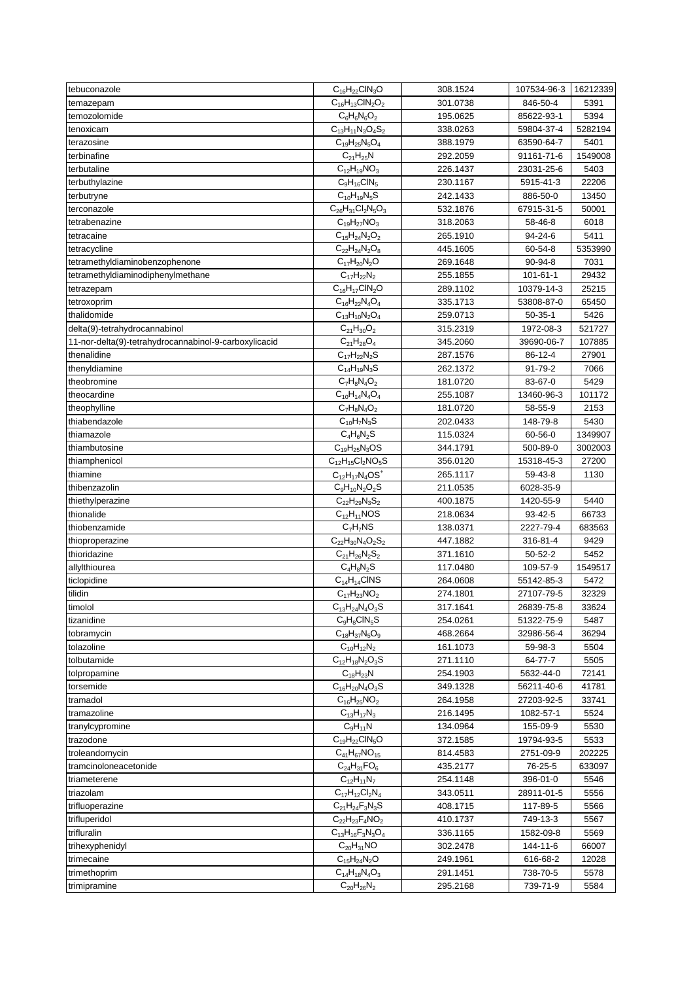| tebuconazole                                          | $C_{16}H_{22}CH_{3}O$                     | 308.1524             | 107534-96-3    | 16212339 |
|-------------------------------------------------------|-------------------------------------------|----------------------|----------------|----------|
| temazepam                                             | $C_{16}H_{13}CIN_2O_2$                    | 301.0738             | 846-50-4       | 5391     |
| temozolomide                                          | $C_6H_6N_6O_2$                            | 195.0625             | 85622-93-1     | 5394     |
| tenoxicam                                             | $C_{13}H_{11}N_3O_4S_2$                   | 338.0263             | 59804-37-4     | 5282194  |
| terazosine                                            | $C_{19}H_{25}N_5O_4$                      | 388.1979             | 63590-64-7     | 5401     |
| terbinafine                                           | $C_{21}H_{25}N$                           | 292.2059             | 91161-71-6     | 1549008  |
| terbutaline                                           | $C_{12}H_{19}NO_3$                        | 226.1437             | 23031-25-6     | 5403     |
| terbuthylazine                                        | $C_9H_{16}CIN_5$                          | 230.1167             | 5915-41-3      | 22206    |
| terbutryne                                            | $C_{10}H_{19}N_5S$                        | 242.1433             | 886-50-0       | 13450    |
| terconazole                                           | $C_{26}H_{31}Cl_2N_5O_3$                  | 532.1876             | 67915-31-5     | 50001    |
| tetrabenazine                                         | $C_{19}H_{27}NO_3$                        | 318.2063             | 58-46-8        | 6018     |
| tetracaine                                            | $C_{15}H_{24}N_2O_2$                      | 265.1910             | $94 - 24 - 6$  | 5411     |
| tetracycline                                          | $C_{22}H_{24}N_2O_8$                      | 445.1605             | 60-54-8        | 5353990  |
| tetramethyldiaminobenzophenone                        | $C_{17}H_{20}N_2O$                        | 269.1648             | 90-94-8        | 7031     |
| tetramethyldiaminodiphenylmethane                     | $C_{17}H_{22}N_2$                         | 255.1855             | $101 - 61 - 1$ | 29432    |
| tetrazepam                                            | $C_{16}H_{17}CIN_2O$                      | 289.1102             | 10379-14-3     | 25215    |
| tetroxoprim                                           | $C_{16}H_{22}N_4O_4$                      | 335.1713             | 53808-87-0     | 65450    |
| thalidomide                                           | $C_{13}H_{10}N_2O_4$                      | 259.0713             | $50-35-1$      | 5426     |
| delta(9)-tetrahydrocannabinol                         | $C_{21}H_{30}O_2$                         | 315.2319             | 1972-08-3      | 521727   |
| 11-nor-delta(9)-tetrahydrocannabinol-9-carboxylicacid | $C_{21}H_{28}O_4$                         | 345.2060             | 39690-06-7     | 107885   |
| thenalidine                                           | $C_{17}H_{22}N_{2}S$                      | 287.1576             | 86-12-4        | 27901    |
| thenyldiamine                                         | $C_{14}H_{19}N_3S$                        | 262.1372             | 91-79-2        | 7066     |
| theobromine                                           | $C_7H_8N_4O_2$                            | 181.0720             | 83-67-0        | 5429     |
| theocardine                                           | $C_{10}H_{14}N_4O_4$                      | 255.1087             | 13460-96-3     | 101172   |
| theophylline                                          | $C_7H_8N_4O_2$                            | 181.0720             | 58-55-9        | 2153     |
| thiabendazole                                         | $C_{10}H_7N_3S$                           | 202.0433             | 148-79-8       | 5430     |
| thiamazole                                            | $C_4H_6N_2S$                              | 115.0324             | 60-56-0        | 1349907  |
| thiambutosine                                         |                                           | 344.1791             | 500-89-0       | 3002003  |
|                                                       | $C_{19}H_{25}N_3OS$                       |                      |                |          |
| thiamphenicol                                         | $C_{12}H_{15}Cl_2NO_5S$                   | 356.0120             | 15318-45-3     | 27200    |
| thiamine                                              | $C_{12}H_{17}N_4OS^+$                     | 265.1117             | 59-43-8        | 1130     |
| thibenzazolin                                         | $C_9H_{10}N_2O_2S$                        | 211.0535<br>400.1875 | 6028-35-9      | 5440     |
| thiethylperazine                                      | $C_{22}H_{29}N_3S_2$<br>$C_{12}H_{11}NOS$ |                      | 1420-55-9      |          |
| thionalide                                            |                                           | 218.0634             | 93-42-5        | 66733    |
| thiobenzamide                                         | $C_7H_7NS$                                | 138.0371             | 2227-79-4      | 683563   |
| thioproperazine                                       | $C_{22}H_{30}N_{4}O_{2}S_{2}$             | 447.1882             | 316-81-4       | 9429     |
| thioridazine                                          | $C_{21}H_{26}N_2S_2$                      | 371.1610             | 50-52-2        | 5452     |
| allylthiourea<br>ticlopidine                          | $C_4H_8N_2S$                              | 117.0480             | 109-57-9       | 1549517  |
|                                                       | $C_{14}H_{14}CINS$                        | 264.0608             | 55142-85-3     | 5472     |
| tilidin                                               | $C_{17}H_{23}NO_2$                        | 274.1801             | 27107-79-5     | 32329    |
| timolol                                               | $C_{13}H_{24}N_{4}O_{3}S$                 | 317.1641             | 26839-75-8     | 33624    |
| tizanidine                                            | $C_9H_8CIN_5S$                            | 254.0261             | 51322-75-9     | 5487     |
| tobramycin                                            | $C_{18}H_{37}N_5O_9$                      | 468.2664             | 32986-56-4     | 36294    |
| tolazoline                                            | $C_{10}H_{12}N_2$                         | 161.1073             | 59-98-3        | 5504     |
| tolbutamide                                           | $C_{12}H_{18}N_2O_3S$                     | 271.1110             | 64-77-7        | 5505     |
| tolpropamine                                          | $C_{18}H_{23}N$                           | 254.1903             | 5632-44-0      | 72141    |
| torsemide                                             | $C_{16}H_{20}N_4O_3S$                     | 349.1328             | 56211-40-6     | 41781    |
| tramadol                                              | $C_{16}H_{25}NO_2$                        | 264.1958             | 27203-92-5     | 33741    |
| tramazoline                                           | $C_{13}H_{17}N_3$                         | 216.1495             | 1082-57-1      | 5524     |
| tranylcypromine                                       | $C_9H_{11}N$                              | 134.0964             | 155-09-9       | 5530     |
| trazodone                                             | $C_{19}H_{22}CH_5O$                       | 372.1585             | 19794-93-5     | 5533     |
| troleandomycin                                        | $C_{41}H_{67}NO_{15}$                     | 814.4583             | 2751-09-9      | 202225   |
| tramcinoloneacetonide                                 | $C_{24}H_{31}FO_6$                        | 435.2177             | 76-25-5        | 633097   |
| triameterene                                          | $C_{12}H_{11}N_7$                         | 254.1148             | 396-01-0       | 5546     |
| triazolam                                             | $C_{17}H_{12}Cl_2N_4$                     | 343.0511             | 28911-01-5     | 5556     |
| trifluoperazine                                       | $C_{21}H_{24}F_{3}N_{3}S$                 | 408.1715             | 117-89-5       | 5566     |
| trifluperidol                                         | $C_{22}H_{23}F_4NO_2$                     | 410.1737             | 749-13-3       | 5567     |
| trifluralin                                           | $C_{13}H_{16}F_3N_3O_4$                   | 336.1165             | 1582-09-8      | 5569     |
| trihexyphenidyl                                       | $C_{20}H_{31}NO$                          | 302.2478             | 144-11-6       | 66007    |
| trimecaine                                            | $C_{15}H_{24}N_{2}O$                      | 249.1961             | 616-68-2       | 12028    |
| trimethoprim                                          | $C_{14}H_{18}N_4O_3$                      | 291.1451             | 738-70-5       | 5578     |
| trimipramine                                          | $C_{20}H_{26}N_2$                         | 295.2168             | 739-71-9       | 5584     |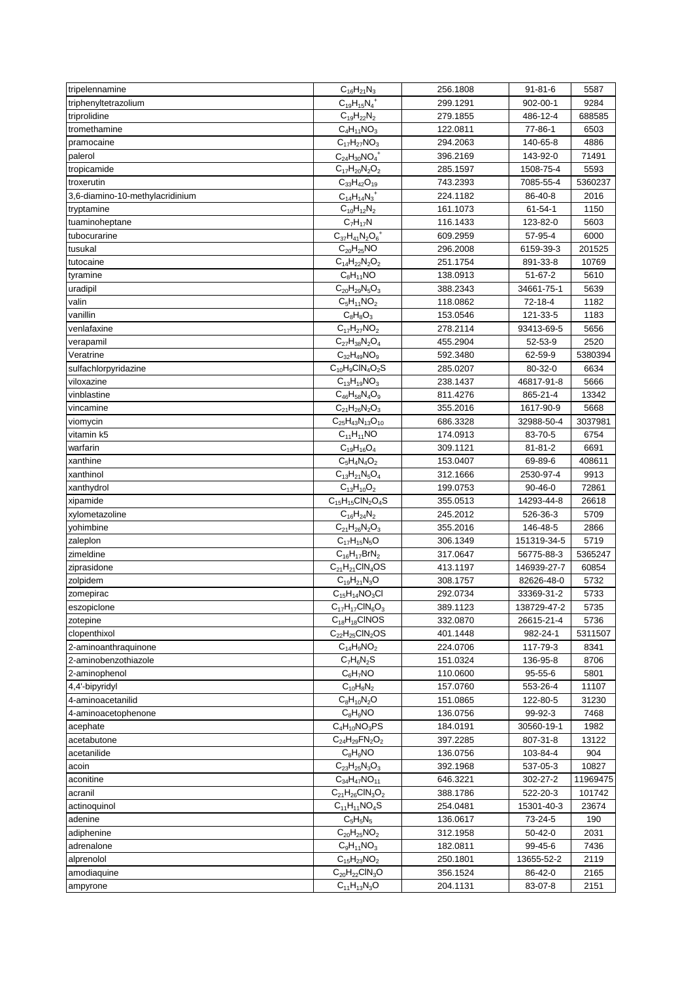| tripelennamine                  | $C_{16}H_{21}N_3$               | 256.1808 | $91 - 81 - 6$ | 5587     |
|---------------------------------|---------------------------------|----------|---------------|----------|
| triphenyltetrazolium            | $C_{19}H_{15}N_4^+$             | 299.1291 | 902-00-1      | 9284     |
| triprolidine                    | $C_{19}H_{22}N_2$               | 279.1855 | 486-12-4      | 688585   |
| tromethamine                    | $C_4H_{11}NO_3$                 | 122.0811 | 77-86-1       | 6503     |
| pramocaine                      | $C_{17}H_{27}NO_3$              | 294.2063 | 140-65-8      | 4886     |
| palerol                         | $C_{24}H_{30}NO_4^+$            | 396.2169 | 143-92-0      | 71491    |
| tropicamide                     | $C_{17}H_{20}N_2O_2$            | 285.1597 | 1508-75-4     | 5593     |
| troxerutin                      | $C_{33}H_{42}O_{19}$            | 743.2393 | 7085-55-4     | 5360237  |
| 3,6-diamino-10-methylacridinium | $C_{14}H_{14}N_3^+$             | 224.1182 | 86-40-8       | 2016     |
| tryptamine                      | $C_{10}H_{12}N_2$               | 161.1073 | $61 - 54 - 1$ | 1150     |
| tuaminoheptane                  | $C_7H_{17}N$                    | 116.1433 | 123-82-0      | 5603     |
| tubocurarine                    | $C_{37}H_{41}N_2O_6^+$          | 609.2959 | 57-95-4       | 6000     |
| tusukal                         | $C_{20}H_{25}NO$                | 296.2008 | 6159-39-3     | 201525   |
| tutocaine                       | $C_{14}H_{22}N_2O_2$            | 251.1754 | 891-33-8      | 10769    |
| tyramine                        | $C_8H_{11}NO$                   | 138.0913 | 51-67-2       | 5610     |
| uradipil                        | $C_{20}H_{29}N_5O_3$            | 388.2343 | 34661-75-1    | 5639     |
| valin                           | $C_5H_{11}NO_2$                 | 118.0862 | 72-18-4       | 1182     |
| vanillin                        | $C_8H_8O_3$                     | 153.0546 | 121-33-5      | 1183     |
| venlafaxine                     | $C_{17}H_{27}NO_2$              | 278.2114 | 93413-69-5    | 5656     |
| verapamil                       | $C_{27}H_{38}N_2O_4$            | 455.2904 | 52-53-9       | 2520     |
| Veratrine                       | $C_{32}H_{49}NO_9$              | 592.3480 | 62-59-9       | 5380394  |
| sulfachlorpyridazine            | $C_{10}H_9CIN_4O_2S$            | 285.0207 | 80-32-0       | 6634     |
| viloxazine                      | $C_{13}H_{19}NO_3$              | 238.1437 | 46817-91-8    | 5666     |
| vinblastine                     | $C_{46}H_{58}N_4O_9$            | 811.4276 | 865-21-4      | 13342    |
| vincamine                       | $C_{21}H_{26}N_2O_3$            | 355.2016 | 1617-90-9     | 5668     |
| viomycin                        | $C_{25}H_{43}N_{13}O_{10}$      | 686.3328 | 32988-50-4    | 3037981  |
| vitamin k5                      | $C_{11}H_{11}NO$                | 174.0913 | 83-70-5       | 6754     |
| warfarin                        | $C_{19}H_{16}O_4$               | 309.1121 | $81 - 81 - 2$ | 6691     |
| xanthine                        | $C_5H_4N_4O_2$                  | 153.0407 | 69-89-6       | 408611   |
| xanthinol                       | $C_{13}H_{21}N_5O_4$            | 312.1666 | 2530-97-4     | 9913     |
| xanthydrol                      | $C_{13}H_{10}O_2$               | 199.0753 | $90 - 46 - 0$ | 72861    |
| xipamide                        | $C_{15}H_{15}CIN_2O_4S$         | 355.0513 | 14293-44-8    | 26618    |
| xylometazoline                  | $C_{16}H_{24}N_2$               | 245.2012 | 526-36-3      | 5709     |
| yohimbine                       | $\overline{C}_{21}H_{26}N_2O_3$ | 355.2016 | 146-48-5      | 2866     |
| zaleplon                        | $C_{17}H_{15}N_5O$              | 306.1349 | 151319-34-5   | 5719     |
| zimeldine                       | $C_{16}H_{17}BrN_2$             | 317.0647 | 56775-88-3    | 5365247  |
| ziprasidone                     | $C_{21}H_{21}CIN_4OS$           | 413.1197 | 146939-27-7   | 60854    |
| zolpidem                        | $C_{19}H_{21}N_3O$              | 308.1757 | 82626-48-0    | 5732     |
| zomepirac                       | $C_{15}H_{14}NO_3Cl$            | 292.0734 | 33369-31-2    | 5733     |
| eszopiclone                     | $C_{17}H_{17}CIN_6O_3$          | 389.1123 | 138729-47-2   | 5735     |
| zotepine                        | $C_{18}H_{18}$ CINOS            | 332.0870 | 26615-21-4    | 5736     |
| clopenthixol                    | $C_{22}H_{25}CIN_2OS$           | 401.1448 | 982-24-1      | 5311507  |
| 2-aminoanthraquinone            | $C_{14}H_9NO_2$                 | 224.0706 | 117-79-3      | 8341     |
| 2-aminobenzothiazole            | $C_7H_6N_2S$                    | 151.0324 | 136-95-8      | 8706     |
| 2-aminophenol                   | $C_6H_7NO$                      | 110.0600 | 95-55-6       | 5801     |
| 4,4'-bipyridyl                  | $C_{10}H_8N_2$                  | 157.0760 | 553-26-4      | 11107    |
| 4-aminoacetanilid               | $C_8H_{10}N_2O$                 | 151.0865 | 122-80-5      | 31230    |
| 4-aminoacetophenone             | $C_8H_9NO$                      | 136.0756 | 99-92-3       | 7468     |
| acephate                        | $C_4H_{10}NO_3PS$               | 184.0191 | 30560-19-1    | 1982     |
| acetabutone                     | $C_{24}H_{29}FN_{2}O_{2}$       | 397.2285 | 807-31-8      | 13122    |
| acetanilide                     | $C_8H_9NO$                      | 136.0756 | 103-84-4      | 904      |
| acoin                           | $C_{23}H_{25}N_3O_3$            | 392.1968 | 537-05-3      | 10827    |
| aconitine                       | $C_{34}H_{47}NO_{11}$           | 646.3221 | 302-27-2      | 11969475 |
| acranil                         | $C_{21}H_{26}CIN_3O_2$          | 388.1786 | 522-20-3      | 101742   |
| actinoquinol                    | $C_{11}H_{11}NO_4S$             | 254.0481 | 15301-40-3    | 23674    |
| adenine                         | $C_5H_5N_5$                     | 136.0617 | 73-24-5       | 190      |
| adiphenine                      | $C_{20}H_{25}NO_2$              | 312.1958 | 50-42-0       | 2031     |
| adrenalone                      | $C_9H_{11}NO_3$                 | 182.0811 | 99-45-6       | 7436     |
| alprenolol                      | $C_{15}H_{23}NO_2$              | 250.1801 | 13655-52-2    | 2119     |
| amodiaquine                     | $C_{20}H_{22}CIN_{3}O$          | 356.1524 | 86-42-0       | 2165     |
| ampyrone                        | $C_{11}H_{13}N_3O$              | 204.1131 | 83-07-8       | 2151     |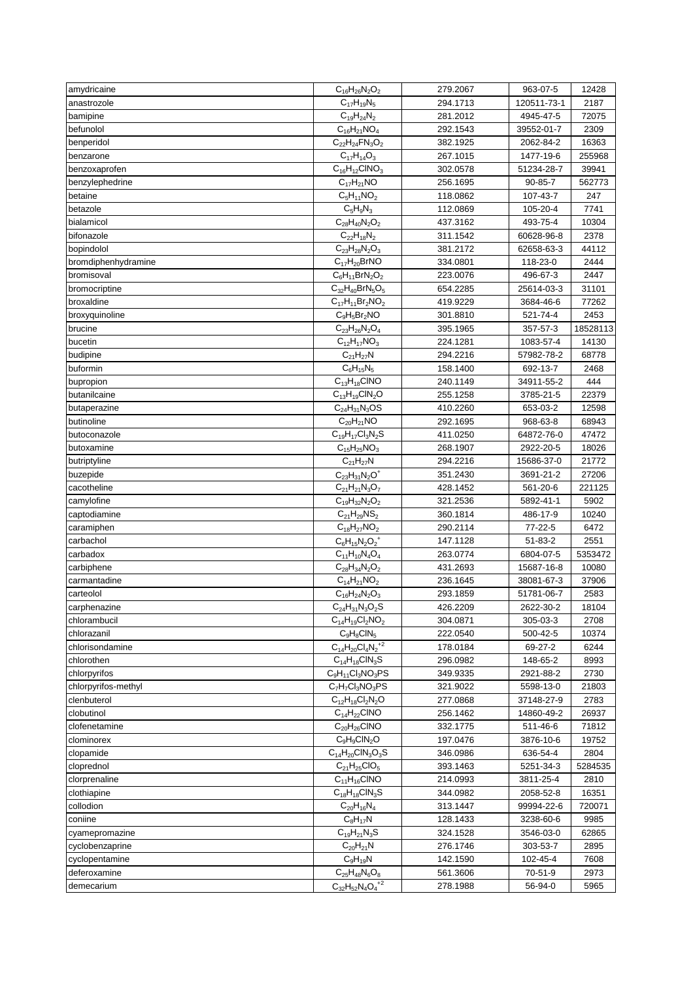| amydricaine                 | $C_{16}H_{26}N_2O_2$                      | 279.2067             | 963-07-5                | 12428           |
|-----------------------------|-------------------------------------------|----------------------|-------------------------|-----------------|
| anastrozole                 | $C_{17}H_{19}N_5$                         | 294.1713             | 120511-73-1             | 2187            |
| bamipine                    | $C_{19}H_{24}N_2$                         | 281.2012             | 4945-47-5               | 72075           |
| befunolol                   | $C_{16}H_{21}NO_4$                        | 292.1543             | 39552-01-7              | 2309            |
| benperidol                  | $C_{22}H_{24}FN_{3}O_{2}$                 | 382.1925             | 2062-84-2               | 16363           |
| benzarone                   | $C_{17}H_{14}O_3$                         | 267.1015             | 1477-19-6               | 255968          |
| benzoxaprofen               | $C_{16}H_{12}CINO_3$                      | 302.0578             | 51234-28-7              | 39941           |
| benzylephedrine             | $C_{17}H_{21}NO$                          | 256.1695             | 90-85-7                 | 562773          |
| betaine                     | $C_5H_{11}NO_2$                           | 118.0862             | 107-43-7                | 247             |
| betazole                    | $C_5H_9N_3$                               | 112.0869             | 105-20-4                | 7741            |
| bialamicol                  | $C_{28}H_{40}N_2O_2$                      | 437.3162             | 493-75-4                | 10304           |
| bifonazole                  | $C_{22}H_{18}N_2$                         | 311.1542             | 60628-96-8              | 2378            |
| bopindolol                  | $C_{23}H_{28}N_2O_3$                      | 381.2172             | 62658-63-3              | 44112           |
| bromdiphenhydramine         | $C_{17}H_{20}BrNO$                        | 334.0801             | 118-23-0                | 2444            |
| bromisoval                  | $C_6H_{11}BrN_2O_2$                       | 223.0076             | 496-67-3                | 2447            |
| bromocriptine               | $C_{32}H_{40}BrN_5O_5$                    | 654.2285             | 25614-03-3              | 31101           |
| broxaldine                  | $C_{17}H_{11}Br_2NO_2$                    | 419.9229             | 3684-46-6               | 77262           |
| broxyquinoline              | $C_9H_5Br_2NO$                            | 301.8810             | 521-74-4                | 2453            |
| brucine                     | $C_{23}H_{26}N_2O_4$                      | 395.1965             | 357-57-3                | 18528113        |
| bucetin                     | $C_{12}H_{17}NO_3$                        | 224.1281             | 1083-57-4               | 14130           |
| budipine                    | $C_{21}H_{27}N$                           | 294.2216             | 57982-78-2              | 68778           |
| buformin                    | $C_6H_{15}N_5$                            | 158.1400             | 692-13-7                | 2468            |
| bupropion                   | $C_{13}H_{18}CINO$                        | 240.1149             | 34911-55-2              | 444             |
| butanilcaine                | $C_{13}H_{19}CIN_2O$                      | 255.1258             | 3785-21-5               | 22379           |
| butaperazine                | $C_{24}H_{31}N_3OS$                       | 410.2260             | 653-03-2                | 12598           |
| butinoline                  | $C_{20}H_{21}NO$                          | 292.1695             | 968-63-8                | 68943           |
| butoconazole                | $C_{19}H_{17}Cl_3N_2S$                    | 411.0250             | 64872-76-0              | 47472           |
| butoxamine                  | $C_{15}H_{25}NO_3$                        | 268.1907             | 2922-20-5               | 18026           |
| butriptyline                | $C_{21}H_{27}N$                           | 294.2216             | 15686-37-0              | 21772           |
| buzepide                    | $C_{23}H_{31}N_2O^+$                      | 351.2430             | 3691-21-2               | 27206           |
| cacotheline                 | $C_{21}H_{21}N_3O_7$                      | 428.1452             | 561-20-6                | 221125          |
| camylofine                  | $C_{19}H_{32}N_2O_2$                      | 321.2536             | 5892-41-1               | 5902            |
| captodiamine                | $C_{21}H_{29}NS_2$                        | 360.1814             | 486-17-9                | 10240           |
| caramiphen                  | $C_{18}H_{27}NO_2$                        | 290.2114             | 77-22-5                 | 6472            |
| carbachol                   | $C_6H_{15}N_2O_2^+$                       | 147.1128             | 51-83-2                 | 2551            |
| carbadox                    | $C_{11}H_{10}N_4O_4$                      | 263.0774             | 6804-07-5               | 5353472         |
| carbiphene                  | $C_{28}H_{34}N_2O_2$                      | 431.2693             | 15687-16-8              | 10080           |
| carmantadine                | $C_{14}H_{21}NO_2$                        | 236.1645             | 38081-67-3              | 37906           |
| carteolol                   | $C_{16}H_{24}N_2O_3$                      | 293.1859             | 51781-06-7              | 2583            |
| carphenazine                | $C_{24}H_{31}N_3O_2S$                     | 426.2209             | 2622-30-2               | 18104           |
| chlorambucil                | $C_{14}H_{19}Cl_2NO_2$                    | 304.0871             | 305-03-3                | 2708            |
| chlorazanil                 | $C_9H_8CIN_5$                             | 222.0540             | 500-42-5                | 10374           |
| chlorisondamine             | $C_{14}H_{20}Cl_4N_2^{+2}$                | 178.0184             | 69-27-2                 | 6244            |
| chlorothen                  | $C_{14}H_{18}CIN_3S$                      | 296.0982             | 148-65-2                | 8993            |
| chlorpyrifos                | $C_9H_{11}Cl_3NO_3PS$                     | 349.9335             | 2921-88-2               | 2730            |
| chlorpyrifos-methyl         | $C_7H_7Cl_3NO_3PS$                        | 321.9022             | 5598-13-0               | 21803           |
| clenbuterol                 | $C_{12}H_{18}Cl_2N_2O$                    | 277.0868             | 37148-27-9              | 2783            |
| clobutinol                  | $C_{14}H_{22}CINO$                        | 256.1462             | 14860-49-2              | 26937           |
| clofenetamine               | $C_{20}H_{26}CINO$                        | 332.1775             | 511-46-6                | 71812           |
| clominorex                  | $C_9H_9CIN_2O$                            | 197.0476             | 3876-10-6               | 19752           |
| clopamide                   | $C_{14}H_{20}CIN_3O_3S$                   | 346.0986             | 636-54-4                | 2804            |
|                             |                                           |                      |                         |                 |
| cloprednol<br>clorprenaline | $C_{21}H_{25}ClO_5$<br>$C_{11}H_{16}CINO$ | 393.1463<br>214.0993 | 5251-34-3<br>3811-25-4  | 5284535<br>2810 |
|                             | $C_{18}H_{18}CIN_3S$                      |                      |                         |                 |
| clothiapine<br>collodion    | $C_{20}H_{16}N_4$                         | 344.0982<br>313.1447 | 2058-52-8<br>99994-22-6 | 16351<br>720071 |
|                             |                                           |                      |                         |                 |
| coniine                     | $C_8H_{17}N$                              | 128.1433             | 3238-60-6               | 9985            |
| cyamepromazine              | $C_{19}H_{21}N_3S$                        | 324.1528             | 3546-03-0               | 62865           |
| cyclobenzaprine             | $C_{20}H_{21}N$                           | 276.1746             | 303-53-7                | 2895            |
| cyclopentamine              | $C_9H_{19}N$                              | 142.1590             | 102-45-4                | 7608            |
| deferoxamine                | $C_{25}H_{48}N_6O_8$                      | 561.3606             | 70-51-9                 | 2973            |
| demecarium                  | $C_{32}H_{52}N_4O_4^{\frac{1}{2}}$        | 278.1988             | 56-94-0                 | 5965            |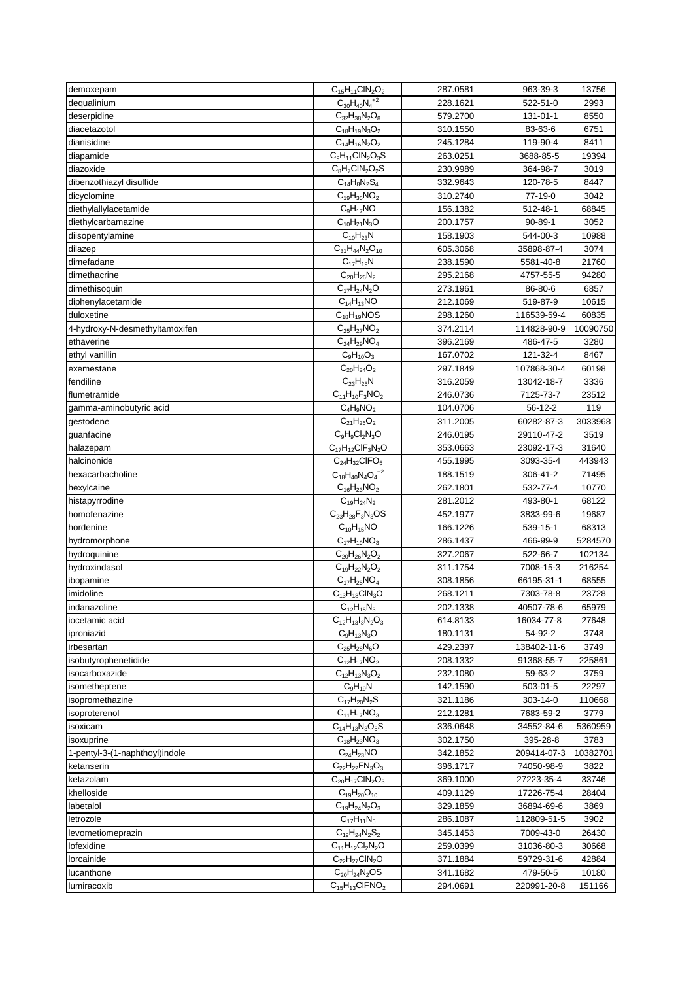| demoxepam                      | $C_{15}H_{11}CIN_2O_2$      | 287.0581 | 963-39-3      | 13756    |
|--------------------------------|-----------------------------|----------|---------------|----------|
| dequalinium                    | $C_{30}H_{40}N_4^{\;+2}$    | 228.1621 | 522-51-0      | 2993     |
| deserpidine                    | $C_{32}H_{38}N_2O_8$        | 579.2700 | 131-01-1      | 8550     |
| diacetazotol                   | $C_{18}H_{19}N_3O_2$        | 310.1550 | 83-63-6       | 6751     |
| dianisidine                    | $C_{14}H_{16}N_2O_2$        | 245.1284 | 119-90-4      | 8411     |
| diapamide                      | $C_9H_{11}CIN_2O_3S$        | 263.0251 | 3688-85-5     | 19394    |
| diazoxide                      | $C_8H_7CIN_2O_2S$           | 230.9989 | 364-98-7      | 3019     |
| dibenzothiazyl disulfide       | $C_{14}H_8N_2S_4$           | 332.9643 | 120-78-5      | 8447     |
| dicyclomine                    | $C_{19}H_{35}NO_2$          | 310.2740 | 77-19-0       | 3042     |
| diethylallylacetamide          | $C_9H_{17}NO$               | 156.1382 | 512-48-1      | 68845    |
| diethylcarbamazine             | $C_{10}H_{21}N_{3}O$        | 200.1757 | $90 - 89 - 1$ | 3052     |
| diisopentylamine               | $C_{10}H_{23}N$             | 158.1903 | 544-00-3      | 10988    |
| dilazep                        | $C_{31}H_{44}N_2O_{10}$     | 605.3068 | 35898-87-4    | 3074     |
| dimefadane                     | $C_{17}H_{19}N$             | 238.1590 | 5581-40-8     | 21760    |
|                                | $C_{20}H_{26}N_2$           |          |               |          |
| dimethacrine                   |                             | 295.2168 | 4757-55-5     | 94280    |
| dimethisoquin                  | $C_{17}H_{24}N_2O$          | 273.1961 | 86-80-6       | 6857     |
| diphenylacetamide              | $C_{14}H_{13}NO$            | 212.1069 | 519-87-9      | 10615    |
| duloxetine                     | $C_{18}H_{19}NOS$           | 298.1260 | 116539-59-4   | 60835    |
| 4-hydroxy-N-desmethyltamoxifen | $C_{25}H_{27}NO_2$          | 374.2114 | 114828-90-9   | 10090750 |
| ethaverine                     | $C_{24}H_{29}NO_4$          | 396.2169 | 486-47-5      | 3280     |
| ethyl vanillin                 | $C_9H_{10}O_3$              | 167.0702 | 121-32-4      | 8467     |
| exemestane                     | $C_{20}H_{24}O_2$           | 297.1849 | 107868-30-4   | 60198    |
| fendiline                      | $C_{23}H_{25}N$             | 316.2059 | 13042-18-7    | 3336     |
| flumetramide                   | $C_{11}H_{10}F_3NO_2$       | 246.0736 | 7125-73-7     | 23512    |
| gamma-aminobutyric acid        | $\overline{C}_4H_9NO_2$     | 104.0706 | 56-12-2       | 119      |
| gestodene                      | $C_{21}H_{26}O_2$           | 311.2005 | 60282-87-3    | 3033968  |
| guanfacine                     | $C_9H_9Cl_2N_3O$            | 246.0195 | 29110-47-2    | 3519     |
| halazepam                      | $C_{17}H_{12}CIF_{3}N_{2}O$ | 353.0663 | 23092-17-3    | 31640    |
| halcinonide                    | $C_{24}H_{32}CIFO_{5}$      | 455.1995 | 3093-35-4     | 443943   |
| hexacarbacholine               | $C_{18}H_{40}N_4{O_4}^{2}$  | 188.1519 | 306-41-2      | 71495    |
| hexylcaine                     | $C_{16}H_{23}NO_2$          | 262.1801 | 532-77-4      | 10770    |
| histapyrrodine                 | $C_{19}H_{24}N_2$           | 281.2012 | 493-80-1      | 68122    |
| homofenazine                   | $C_{23}H_{28}F_{3}N_{3}OS$  | 452.1977 | 3833-99-6     | 19687    |
| hordenine                      | $\overline{C}_{10}H_{15}NO$ | 166.1226 | 539-15-1      | 68313    |
| hydromorphone                  | $C_{17}H_{19}NO_3$          | 286.1437 | 466-99-9      | 5284570  |
| hydroquinine                   | $C_{20}H_{26}N_2O_2$        | 327.2067 | 522-66-7      | 102134   |
| hydroxindasol                  | $C_{19}H_{22}N_2O_2$        | 311.1754 | 7008-15-3     | 216254   |
| ibopamine                      | $C_{17}H_{25}NO_4$          | 308.1856 | 66195-31-1    | 68555    |
| imidoline                      | $C_{13}H_{18}CIN_3O$        | 268.1211 | 7303-78-8     | 23728    |
|                                |                             |          |               |          |
| indanazoline                   | $C_{12}H_{15}N_3$           | 202.1338 | 40507-78-6    | 65979    |
| iocetamic acid                 | $C_{12}H_{13}I_3N_2O_3$     | 614.8133 | 16034-77-8    | 27648    |
| iproniazid                     | $C_9H_{13}N_3O$             | 180.1131 | 54-92-2       | 3748     |
| irbesartan                     | $C_{25}H_{28}N_6O$          | 429.2397 | 138402-11-6   | 3749     |
| isobutyrophenetidide           | $C_{12}H_{17}NO_2$          | 208.1332 | 91368-55-7    | 225861   |
| isocarboxazide                 | $C_{12}H_{13}N_3O_2$        | 232.1080 | 59-63-2       | 3759     |
| isometheptene                  | $C_9H_{19}N$                | 142.1590 | 503-01-5      | 22297    |
| isopromethazine                | $C_{17}H_{20}N_2S$          | 321.1186 | 303-14-0      | 110668   |
| isoproterenol                  | $C_{11}H_{17}NO_3$          | 212.1281 | 7683-59-2     | 3779     |
| isoxicam                       | $C_{14}H_{13}N_3O_5S$       | 336.0648 | 34552-84-6    | 5360959  |
| isoxuprine                     | $C_{18}H_{23}NO_3$          | 302.1750 | 395-28-8      | 3783     |
| 1-pentyl-3-(1-naphthoyl)indole | $C_{24}H_{23}NO$            | 342.1852 | 209414-07-3   | 10382701 |
| ketanserin                     | $C_{22}H_{22}FN_{3}O_{3}$   | 396.1717 | 74050-98-9    | 3822     |
| ketazolam                      | $C_{20}H_{17}CIN_2O_3$      | 369.1000 | 27223-35-4    | 33746    |
| khelloside                     | $C_{19}H_{20}O_{10}$        | 409.1129 | 17226-75-4    | 28404    |
| labetalol                      | $C_{19}H_{24}N_2O_3$        | 329.1859 | 36894-69-6    | 3869     |
| letrozole                      | $C_{17}H_{11}N_5$           | 286.1087 | 112809-51-5   | 3902     |
| levometiomeprazin              | $C_{19}H_{24}N_2S_2$        | 345.1453 | 7009-43-0     | 26430    |
| lofexidine                     | $C_{11}H_{12}Cl_2N_2O$      | 259.0399 | 31036-80-3    | 30668    |
| lorcainide                     | $C_{22}H_{27}CIN_2O$        | 371.1884 | 59729-31-6    | 42884    |
| lucanthone                     | $C_{20}H_{24}N_2OS$         | 341.1682 | 479-50-5      | 10180    |
| lumiracoxib                    | $C_{15}H_{13}CIFNO2$        | 294.0691 | 220991-20-8   | 151166   |
|                                |                             |          |               |          |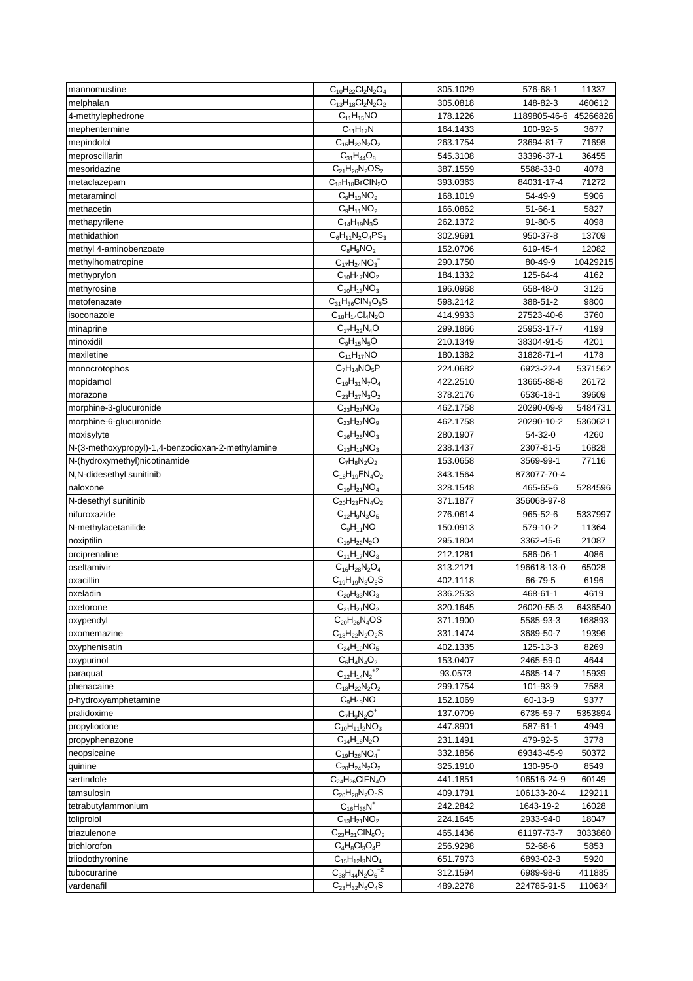| mannomustine                                      | $C_{10}H_{22}Cl_2N_2O_4$                         | 305.1029 | 576-68-1      | 11337    |
|---------------------------------------------------|--------------------------------------------------|----------|---------------|----------|
| melphalan                                         | $C_{13}H_{18}Cl_2N_2O_2$                         | 305.0818 | 148-82-3      | 460612   |
| 4-methylephedrone                                 | $C_{11}H_{15}NO$                                 | 178.1226 | 1189805-46-6  | 45266826 |
| mephentermine                                     | $C_{11}H_{17}N$                                  | 164.1433 | 100-92-5      | 3677     |
| mepindolol                                        | $C_{15}H_{22}N_2O_2$                             | 263.1754 | 23694-81-7    | 71698    |
| meproscillarin                                    | $C_{31}H_{44}O_8$                                | 545.3108 | 33396-37-1    | 36455    |
| mesoridazine                                      | $C_{21}H_{26}N_2OS_2$                            | 387.1559 | 5588-33-0     | 4078     |
| metaclazepam                                      | $\overline{C_{18}}H_{18}BrClN_2O$                | 393.0363 | 84031-17-4    | 71272    |
| metaraminol                                       | $C_9H_{13}NO_2$                                  | 168.1019 | 54-49-9       | 5906     |
| methacetin                                        | $C_9H_{11}NO_2$                                  | 166.0862 | $51 - 66 - 1$ | 5827     |
| methapyrilene                                     | $C_{14}H_{19}N_3S$                               | 262.1372 | $91 - 80 - 5$ | 4098     |
| methidathion                                      | $C_6H_{11}N_2O_4PS_3$                            | 302.9691 | 950-37-8      | 13709    |
| methyl 4-aminobenzoate                            | $C_8H_9NO_2$                                     | 152.0706 | 619-45-4      | 12082    |
| methylhomatropine                                 | $C_{17}H_{24}NO_3$ <sup>+</sup>                  | 290.1750 | 80-49-9       | 10429215 |
| methyprylon                                       | $C_{10}H_{17}NO_2$                               | 184.1332 | 125-64-4      | 4162     |
| methyrosine                                       | $C_{10}H_{13}NO_3$                               | 196.0968 | 658-48-0      | 3125     |
| metofenazate                                      | $C_{31}H_{36}CIN_3O_5S$                          | 598.2142 | 388-51-2      | 9800     |
| isoconazole                                       | $C_{18}H_{14}Cl_4N_2O$                           | 414.9933 | 27523-40-6    | 3760     |
| minaprine                                         | $C_{17}H_{22}N_4O$                               | 299.1866 | 25953-17-7    | 4199     |
| minoxidil                                         | $C_9H_{15}N_5O$                                  | 210.1349 | 38304-91-5    | 4201     |
| mexiletine                                        | $C_{11}H_{17}NO$                                 | 180.1382 | 31828-71-4    | 4178     |
| monocrotophos                                     | $C_7H_{14}NO_5P$                                 | 224.0682 | 6923-22-4     | 5371562  |
| mopidamol                                         | $C_{19}H_{31}N_7O_4$                             | 422.2510 | 13665-88-8    | 26172    |
| morazone                                          | $C_{23}H_{27}N_3O_2$                             | 378.2176 | 6536-18-1     | 39609    |
| morphine-3-glucuronide                            | $C_{23}H_{27}NO_9$                               | 462.1758 | 20290-09-9    | 5484731  |
| morphine-6-glucuronide                            | $C_{23}H_{27}NO_9$                               | 462.1758 | 20290-10-2    | 5360621  |
| moxisylyte                                        | $C_{16}H_{25}NO_3$                               | 280.1907 | 54-32-0       | 4260     |
| N-(3-methoxypropyl)-1,4-benzodioxan-2-methylamine | $C_{13}H_{19}NO_3$                               | 238.1437 | 2307-81-5     | 16828    |
| N-(hydroxymethyl)nicotinamide                     | $C_7H_8N_2O_2$                                   | 153.0658 | 3569-99-1     | 77116    |
| N,N-didesethyl sunitinib                          | $C_{18}H_{19}FN_{4}O_{2}$                        | 343.1564 | 873077-70-4   |          |
| naloxone                                          | $C_{19}H_{21}NO_4$                               | 328.1548 | 465-65-6      | 5284596  |
| N-desethyl sunitinib                              | $C_{20}H_{23}FN_{4}O_{2}$                        | 371.1877 | 356068-97-8   |          |
| nifuroxazide                                      | $C_{12}H_9N_3O_5$                                | 276.0614 | 965-52-6      | 5337997  |
| N-methylacetanilide                               | $C_9H_{11}NO$                                    | 150.0913 | 579-10-2      | 11364    |
| noxiptilin                                        | $C_{19}H_{22}N_2O$                               | 295.1804 | 3362-45-6     | 21087    |
| orciprenaline                                     | $C_{11}H_{17}NO_3$                               | 212.1281 | 586-06-1      | 4086     |
| oseltamivir                                       | $C_{16}H_{28}N_2O_4$                             | 313.2121 | 196618-13-0   | 65028    |
| oxacillin                                         | $C_{19}H_{19}N_3O_5S$                            | 402.1118 | 66-79-5       | 6196     |
| oxeladin                                          |                                                  | 336.2533 | 468-61-1      | 4619     |
|                                                   | $C_{20}H_{33}NO_3$                               | 320.1645 |               |          |
| oxetorone                                         | $C_{21}H_{21}NO_2$                               |          | 26020-55-3    | 6436540  |
| oxypendyl                                         | $C_{20}H_{26}N_4OS$<br>$C_{18}H_{22}N_{2}O_{2}S$ | 371.1900 | 5585-93-3     | 168893   |
| oxomemazine                                       |                                                  | 331.1474 | 3689-50-7     | 19396    |
| oxyphenisatin                                     | $C_{24}H_{19}NO_5$                               | 402.1335 | 125-13-3      | 8269     |
| oxypurinol                                        | $C_5H_4N_4O_2$                                   | 153.0407 | 2465-59-0     | 4644     |
| paraquat                                          | $C_{12}H_{14}{N_2}^{+2}$                         | 93.0573  | 4685-14-7     | 15939    |
| phenacaine                                        | $C_{18}H_{22}N_2O_2$                             | 299.1754 | 101-93-9      | 7588     |
| p-hydroxyamphetamine                              | $C_9H_{13}NO$                                    | 152.1069 | 60-13-9       | 9377     |
| pralidoxime                                       | $C_7H_9N_2O^+$                                   | 137.0709 | 6735-59-7     | 5353894  |
| propyliodone                                      | $C_{10}H_{11}I_2NO_3$                            | 447.8901 | 587-61-1      | 4949     |
| propyphenazone                                    | $C_{14}H_{18}N_2O$                               | 231.1491 | 479-92-5      | 3778     |
| neopsicaine                                       | $C_{19}H_{26}NO_4^+$                             | 332.1856 | 69343-45-9    | 50372    |
| quinine                                           | $C_{20}H_{24}N_2O_2$                             | 325.1910 | 130-95-0      | 8549     |
| sertindole                                        | $C_{24}H_{26}CIFN_4O$                            | 441.1851 | 106516-24-9   | 60149    |
| tamsulosin                                        | $C_{20}H_{28}N_2O_5S$                            | 409.1791 | 106133-20-4   | 129211   |
| tetrabutylammonium                                | $C_{16}H_{36}N^{+}$                              | 242.2842 | 1643-19-2     | 16028    |
| toliprolol                                        | $C_{13}H_{21}NO_2$                               | 224.1645 | 2933-94-0     | 18047    |
| triazulenone                                      | $C_{23}H_{21}CIN_6O_3$                           | 465.1436 | 61197-73-7    | 3033860  |
| trichlorofon                                      | $C_4H_8Cl_3O_4P$                                 | 256.9298 | 52-68-6       | 5853     |
| triiodothyronine                                  | $C_{15}H_{12}I_3NO_4$                            | 651.7973 | 6893-02-3     | 5920     |
| tubocurarine                                      | $C_{38}H_{44}N_2O_6^{+2}$                        | 312.1594 | 6989-98-6     | 411885   |
| vardenafil                                        | $C_{23}H_{32}N_6O_4S$                            | 489.2278 | 224785-91-5   | 110634   |